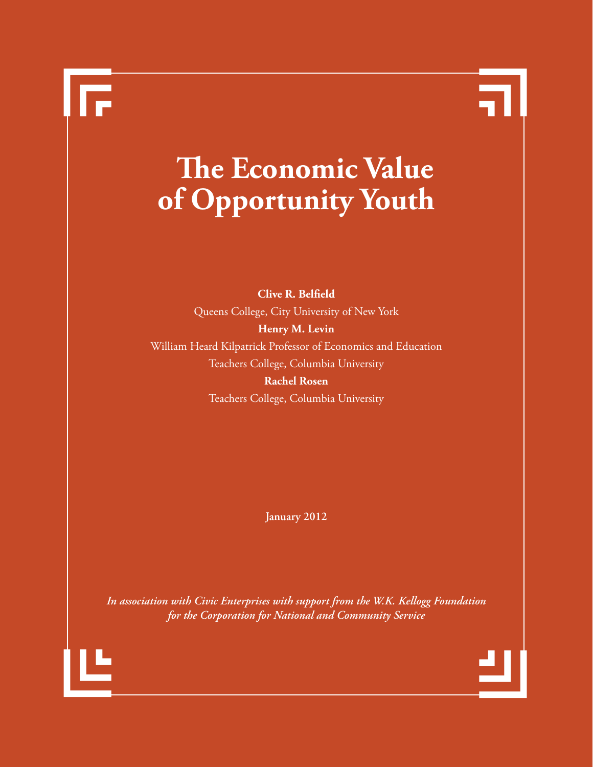# i.

# **The Economic Value of Opportunity Youth**

i

**Clive R. Belfield** Queens College, City University of New York **Henry M. Levin**

William Heard Kilpatrick Professor of Economics and Education Teachers College, Columbia University

> **Rachel Rosen** Teachers College, Columbia University

> > **January 2012**

*In association with Civic Enterprises with support from the W.K. Kellogg Foundation for the Corporation for National and Community Service*

<u>k literatur (\* 1958)</u>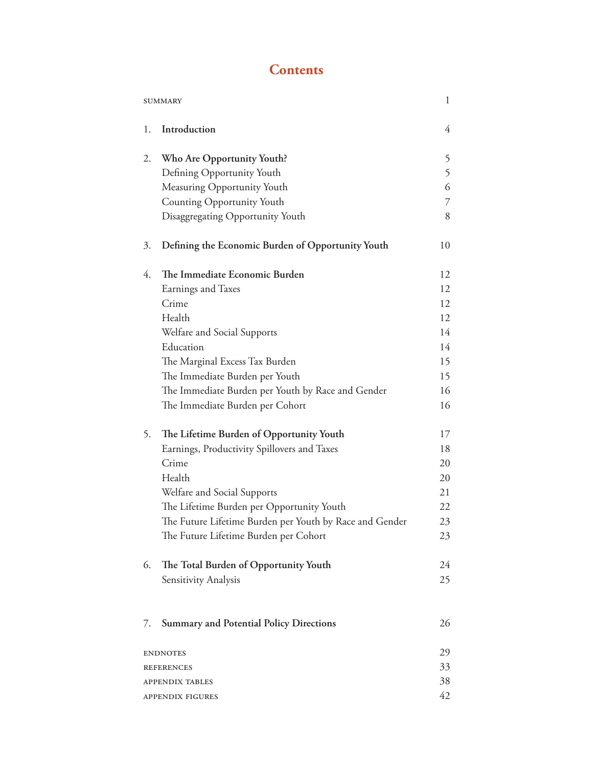# **Contents**

|    | <b>SUMMARY</b>                                          | $\mathbf{1}$ |
|----|---------------------------------------------------------|--------------|
| 1. | Introduction                                            | 4            |
| 2. | Who Are Opportunity Youth?                              | 5            |
|    | Defining Opportunity Youth                              | 5            |
|    | Measuring Opportunity Youth                             | 6            |
|    | Counting Opportunity Youth                              | 7            |
|    | Disaggregating Opportunity Youth                        | 8            |
| 3. | Defining the Economic Burden of Opportunity Youth       | 10           |
| 4. | The Immediate Economic Burden                           | 12           |
|    | Earnings and Taxes                                      | 12           |
|    | Crime                                                   | 12           |
|    | Health                                                  | 12           |
|    | Welfare and Social Supports                             | 14           |
|    | Education                                               | 14           |
|    | The Marginal Excess Tax Burden                          | 15           |
|    | The Immediate Burden per Youth                          | 15           |
|    | The Immediate Burden per Youth by Race and Gender       | 16           |
|    | The Immediate Burden per Cohort                         | 16           |
| 5. | The Lifetime Burden of Opportunity Youth                | 17           |
|    | Earnings, Productivity Spillovers and Taxes             | 18           |
|    | Crime                                                   | 20           |
|    | Health                                                  | 20           |
|    | Welfare and Social Supports                             | 21           |
|    | The Lifetime Burden per Opportunity Youth               | 22           |
|    | The Future Lifetime Burden per Youth by Race and Gender | 23           |
|    | The Future Lifetime Burden per Cohort                   | 23           |
| 6. | The Total Burden of Opportunity Youth                   | 24           |
|    | Sensitivity Analysis                                    | 25           |
| 7. | <b>Summary and Potential Policy Directions</b>          | 26           |
|    | <b>ENDNOTES</b>                                         | 29           |
|    | <b>REFERENCES</b>                                       | 33           |
|    | <b>APPENDIX TABLES</b>                                  | 38           |
|    | <b>APPENDIX FIGURES</b>                                 | 42           |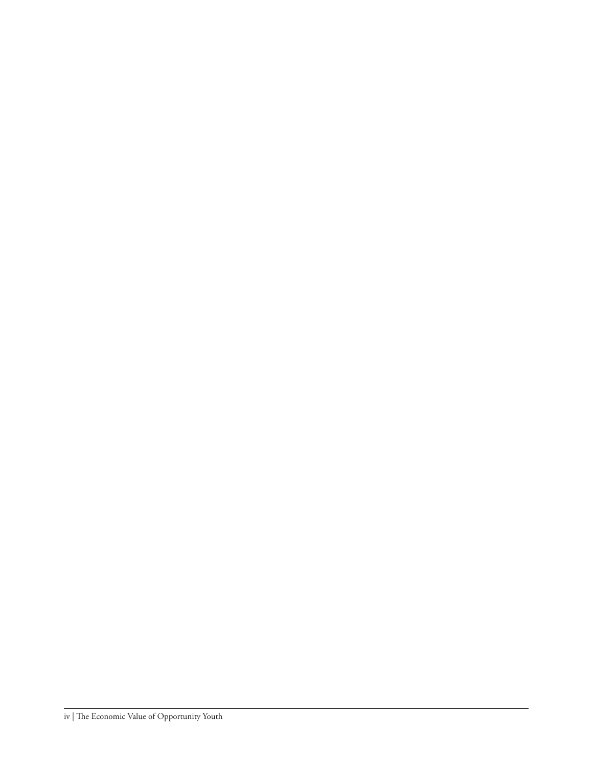iv | The Economic Value of Opportunity Youth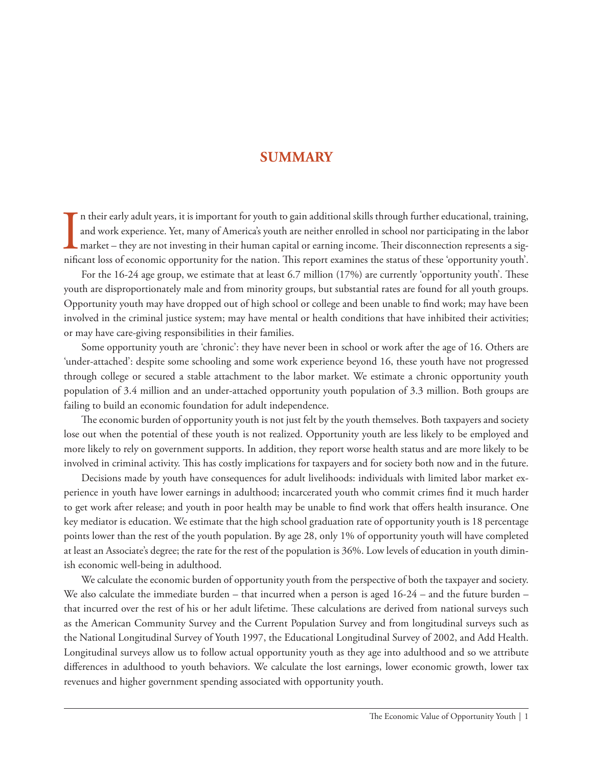# **Summary**

In their early adult years, it is important for youth to gain additional skills through further educational, training, and work experience. Yet, many of America's youth are neither enrolled in school nor participating in t n their early adult years, it is important for youth to gain additional skills through further educational, training, and work experience. Yet, many of America's youth are neither enrolled in school nor participating in the labor market – they are not investing in their human capital or earning income. Their disconnection represents a sig-

For the 16-24 age group, we estimate that at least 6.7 million (17%) are currently 'opportunity youth'. These youth are disproportionately male and from minority groups, but substantial rates are found for all youth groups. Opportunity youth may have dropped out of high school or college and been unable to find work; may have been involved in the criminal justice system; may have mental or health conditions that have inhibited their activities; or may have care-giving responsibilities in their families.

Some opportunity youth are 'chronic': they have never been in school or work after the age of 16. Others are 'under-attached': despite some schooling and some work experience beyond 16, these youth have not progressed through college or secured a stable attachment to the labor market. We estimate a chronic opportunity youth population of 3.4 million and an under-attached opportunity youth population of 3.3 million. Both groups are failing to build an economic foundation for adult independence.

The economic burden of opportunity youth is not just felt by the youth themselves. Both taxpayers and society lose out when the potential of these youth is not realized. Opportunity youth are less likely to be employed and more likely to rely on government supports. In addition, they report worse health status and are more likely to be involved in criminal activity. This has costly implications for taxpayers and for society both now and in the future.

Decisions made by youth have consequences for adult livelihoods: individuals with limited labor market experience in youth have lower earnings in adulthood; incarcerated youth who commit crimes find it much harder to get work after release; and youth in poor health may be unable to find work that offers health insurance. One key mediator is education. We estimate that the high school graduation rate of opportunity youth is 18 percentage points lower than the rest of the youth population. By age 28, only 1% of opportunity youth will have completed at least an Associate's degree; the rate for the rest of the population is 36%. Low levels of education in youth diminish economic well-being in adulthood.

We calculate the economic burden of opportunity youth from the perspective of both the taxpayer and society. We also calculate the immediate burden – that incurred when a person is aged 16-24 – and the future burden – that incurred over the rest of his or her adult lifetime. These calculations are derived from national surveys such as the American Community Survey and the Current Population Survey and from longitudinal surveys such as the National Longitudinal Survey of Youth 1997, the Educational Longitudinal Survey of 2002, and Add Health. Longitudinal surveys allow us to follow actual opportunity youth as they age into adulthood and so we attribute differences in adulthood to youth behaviors. We calculate the lost earnings, lower economic growth, lower tax revenues and higher government spending associated with opportunity youth.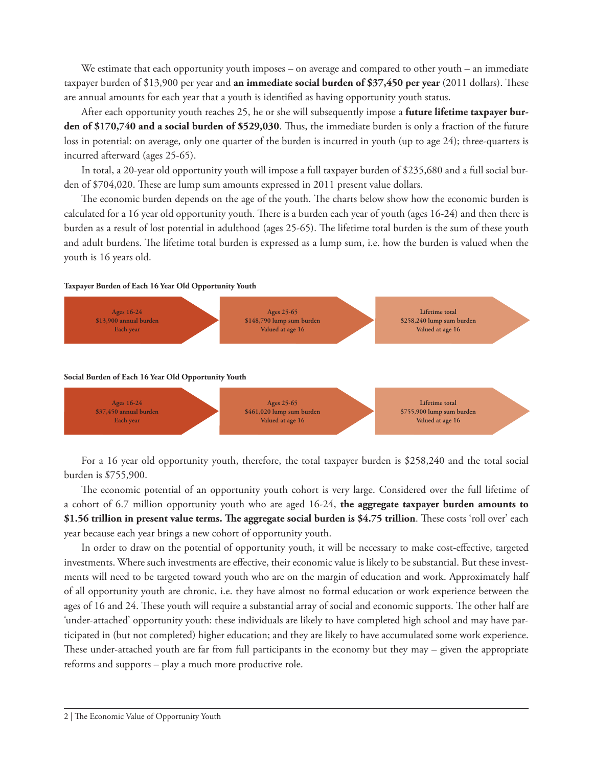We estimate that each opportunity youth imposes – on average and compared to other youth – an immediate taxpayer burden of \$13,900 per year and **an immediate social burden of \$37,450 per year** (2011 dollars). These are annual amounts for each year that a youth is identified as having opportunity youth status.

After each opportunity youth reaches 25, he or she will subsequently impose a **future lifetime taxpayer burden of \$170,740 and a social burden of \$529,030**. Thus, the immediate burden is only a fraction of the future loss in potential: on average, only one quarter of the burden is incurred in youth (up to age 24); three-quarters is incurred afterward (ages 25-65).

In total, a 20-year old opportunity youth will impose a full taxpayer burden of \$235,680 and a full social burden of \$704,020. These are lump sum amounts expressed in 2011 present value dollars.

The economic burden depends on the age of the youth. The charts below show how the economic burden is calculated for a 16 year old opportunity youth. There is a burden each year of youth (ages 16-24) and then there is burden as a result of lost potential in adulthood (ages 25-65). The lifetime total burden is the sum of these youth and adult burdens. The lifetime total burden is expressed as a lump sum, i.e. how the burden is valued when the youth is 16 years old.

#### **Taxpayer Burden of Each 16 Year Old Opportunity Youth**



For a 16 year old opportunity youth, therefore, the total taxpayer burden is \$258,240 and the total social burden is \$755,900.

The economic potential of an opportunity youth cohort is very large. Considered over the full lifetime of a cohort of 6.7 million opportunity youth who are aged 16-24, **the aggregate taxpayer burden amounts to \$1.56 trillion in present value terms. The aggregate social burden is \$4.75 trillion**. These costs 'roll over' each year because each year brings a new cohort of opportunity youth.

In order to draw on the potential of opportunity youth, it will be necessary to make cost-effective, targeted investments. Where such investments are effective, their economic value is likely to be substantial. But these investments will need to be targeted toward youth who are on the margin of education and work. Approximately half of all opportunity youth are chronic, i.e. they have almost no formal education or work experience between the ages of 16 and 24. These youth will require a substantial array of social and economic supports. The other half are 'under-attached' opportunity youth: these individuals are likely to have completed high school and may have participated in (but not completed) higher education; and they are likely to have accumulated some work experience. These under-attached youth are far from full participants in the economy but they may – given the appropriate reforms and supports – play a much more productive role.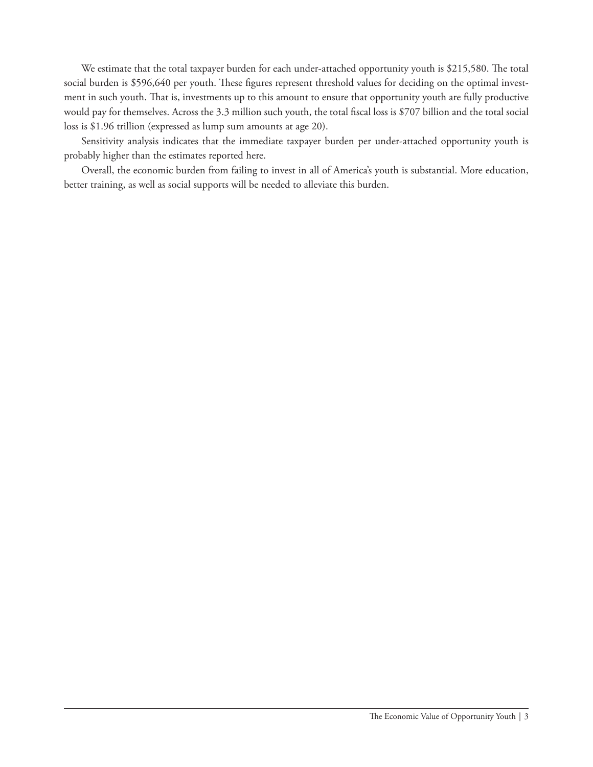We estimate that the total taxpayer burden for each under-attached opportunity youth is \$215,580. The total social burden is \$596,640 per youth. These figures represent threshold values for deciding on the optimal investment in such youth. That is, investments up to this amount to ensure that opportunity youth are fully productive would pay for themselves. Across the 3.3 million such youth, the total fiscal loss is \$707 billion and the total social loss is \$1.96 trillion (expressed as lump sum amounts at age 20).

Sensitivity analysis indicates that the immediate taxpayer burden per under-attached opportunity youth is probably higher than the estimates reported here.

Overall, the economic burden from failing to invest in all of America's youth is substantial. More education, better training, as well as social supports will be needed to alleviate this burden.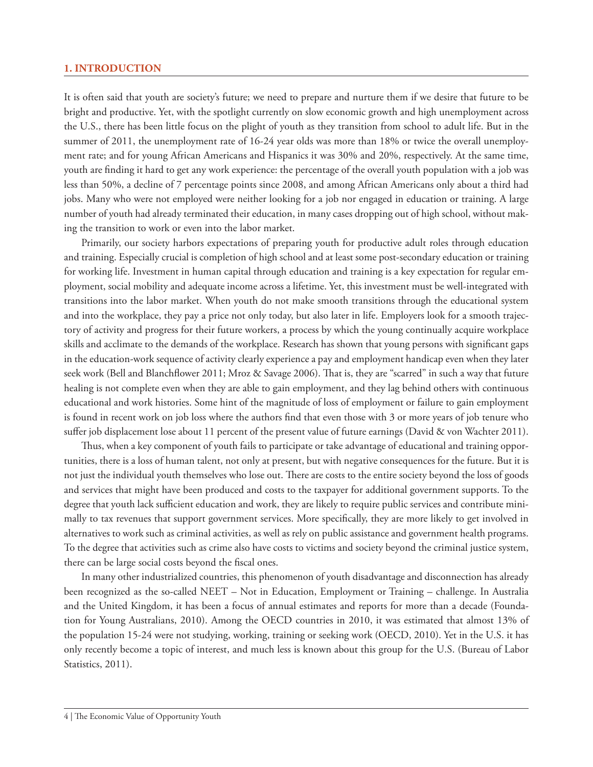#### **1. Introduction**

It is often said that youth are society's future; we need to prepare and nurture them if we desire that future to be bright and productive. Yet, with the spotlight currently on slow economic growth and high unemployment across the U.S., there has been little focus on the plight of youth as they transition from school to adult life. But in the summer of 2011, the unemployment rate of 16-24 year olds was more than 18% or twice the overall unemployment rate; and for young African Americans and Hispanics it was 30% and 20%, respectively. At the same time, youth are finding it hard to get any work experience: the percentage of the overall youth population with a job was less than 50%, a decline of 7 percentage points since 2008, and among African Americans only about a third had jobs. Many who were not employed were neither looking for a job nor engaged in education or training. A large number of youth had already terminated their education, in many cases dropping out of high school, without making the transition to work or even into the labor market.

Primarily, our society harbors expectations of preparing youth for productive adult roles through education and training. Especially crucial is completion of high school and at least some post-secondary education or training for working life. Investment in human capital through education and training is a key expectation for regular employment, social mobility and adequate income across a lifetime. Yet, this investment must be well-integrated with transitions into the labor market. When youth do not make smooth transitions through the educational system and into the workplace, they pay a price not only today, but also later in life. Employers look for a smooth trajectory of activity and progress for their future workers, a process by which the young continually acquire workplace skills and acclimate to the demands of the workplace. Research has shown that young persons with significant gaps in the education-work sequence of activity clearly experience a pay and employment handicap even when they later seek work (Bell and Blanchflower 2011; Mroz & Savage 2006). That is, they are "scarred" in such a way that future healing is not complete even when they are able to gain employment, and they lag behind others with continuous educational and work histories. Some hint of the magnitude of loss of employment or failure to gain employment is found in recent work on job loss where the authors find that even those with 3 or more years of job tenure who suffer job displacement lose about 11 percent of the present value of future earnings (David & von Wachter 2011).

Thus, when a key component of youth fails to participate or take advantage of educational and training opportunities, there is a loss of human talent, not only at present, but with negative consequences for the future. But it is not just the individual youth themselves who lose out. There are costs to the entire society beyond the loss of goods and services that might have been produced and costs to the taxpayer for additional government supports. To the degree that youth lack sufficient education and work, they are likely to require public services and contribute minimally to tax revenues that support government services. More specifically, they are more likely to get involved in alternatives to work such as criminal activities, as well as rely on public assistance and government health programs. To the degree that activities such as crime also have costs to victims and society beyond the criminal justice system, there can be large social costs beyond the fiscal ones.

In many other industrialized countries, this phenomenon of youth disadvantage and disconnection has already been recognized as the so-called NEET – Not in Education, Employment or Training – challenge. In Australia and the United Kingdom, it has been a focus of annual estimates and reports for more than a decade (Foundation for Young Australians, 2010). Among the OECD countries in 2010, it was estimated that almost 13% of the population 15-24 were not studying, working, training or seeking work (OECD, 2010). Yet in the U.S. it has only recently become a topic of interest, and much less is known about this group for the U.S. (Bureau of Labor Statistics, 2011).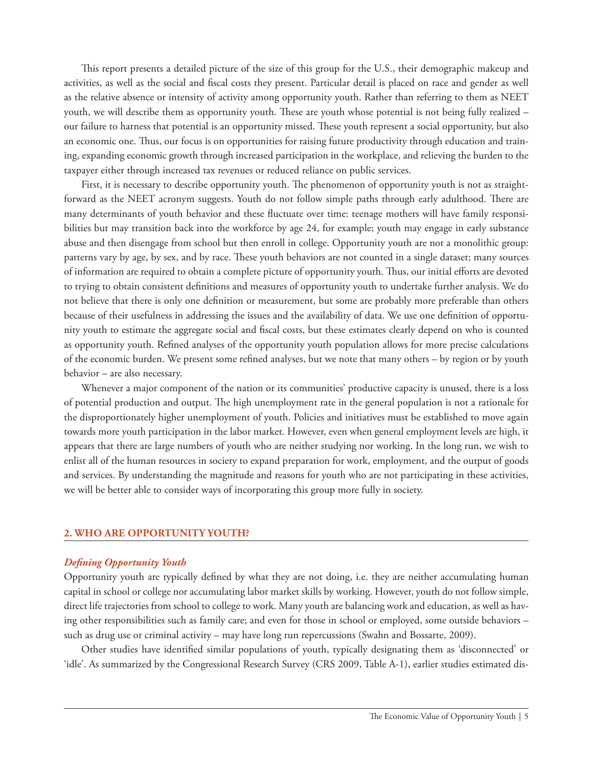This report presents a detailed picture of the size of this group for the U.S., their demographic makeup and activities, as well as the social and fiscal costs they present. Particular detail is placed on race and gender as well as the relative absence or intensity of activity among opportunity youth. Rather than referring to them as NEET youth, we will describe them as opportunity youth. These are youth whose potential is not being fully realized – our failure to harness that potential is an opportunity missed. These youth represent a social opportunity, but also an economic one. Thus, our focus is on opportunities for raising future productivity through education and training, expanding economic growth through increased participation in the workplace, and relieving the burden to the taxpayer either through increased tax revenues or reduced reliance on public services.

First, it is necessary to describe opportunity youth. The phenomenon of opportunity youth is not as straightforward as the NEET acronym suggests. Youth do not follow simple paths through early adulthood. There are many determinants of youth behavior and these fluctuate over time: teenage mothers will have family responsibilities but may transition back into the workforce by age 24, for example; youth may engage in early substance abuse and then disengage from school but then enroll in college. Opportunity youth are not a monolithic group: patterns vary by age, by sex, and by race. These youth behaviors are not counted in a single dataset; many sources of information are required to obtain a complete picture of opportunity youth. Thus, our initial efforts are devoted to trying to obtain consistent definitions and measures of opportunity youth to undertake further analysis. We do not believe that there is only one definition or measurement, but some are probably more preferable than others because of their usefulness in addressing the issues and the availability of data. We use one definition of opportunity youth to estimate the aggregate social and fiscal costs, but these estimates clearly depend on who is counted as opportunity youth. Refined analyses of the opportunity youth population allows for more precise calculations of the economic burden. We present some refined analyses, but we note that many others – by region or by youth behavior – are also necessary.

Whenever a major component of the nation or its communities' productive capacity is unused, there is a loss of potential production and output. The high unemployment rate in the general population is not a rationale for the disproportionately higher unemployment of youth. Policies and initiatives must be established to move again towards more youth participation in the labor market. However, even when general employment levels are high, it appears that there are large numbers of youth who are neither studying nor working. In the long run, we wish to enlist all of the human resources in society to expand preparation for work, employment, and the output of goods and services. By understanding the magnitude and reasons for youth who are not participating in these activities, we will be better able to consider ways of incorporating this group more fully in society.

#### **2. Who Are Opportunity Youth?**

#### *Defining Opportunity Youth*

Opportunity youth are typically defined by what they are not doing, i.e. they are neither accumulating human capital in school or college nor accumulating labor market skills by working. However, youth do not follow simple, direct life trajectories from school to college to work. Many youth are balancing work and education, as well as having other responsibilities such as family care; and even for those in school or employed, some outside behaviors – such as drug use or criminal activity – may have long run repercussions (Swahn and Bossarte, 2009).

Other studies have identified similar populations of youth, typically designating them as 'disconnected' or 'idle'. As summarized by the Congressional Research Survey (CRS 2009, Table A-1), earlier studies estimated dis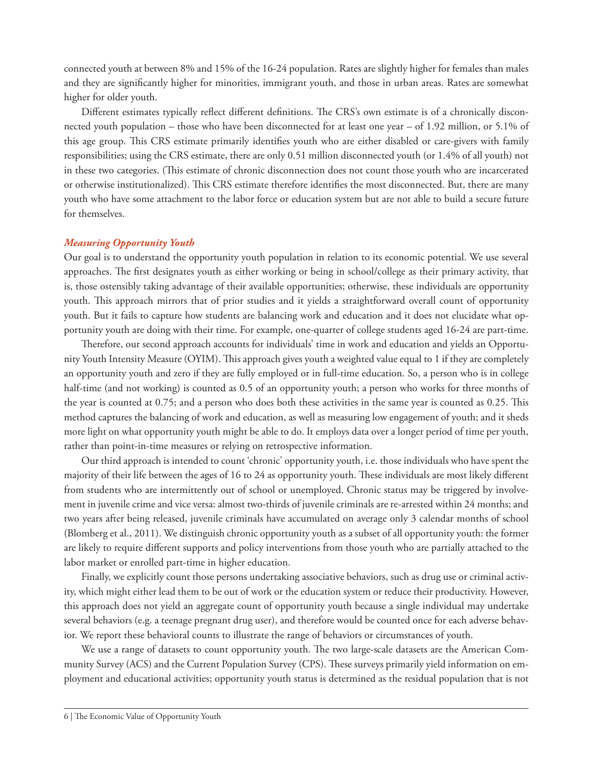connected youth at between 8% and 15% of the 16-24 population. Rates are slightly higher for females than males and they are significantly higher for minorities, immigrant youth, and those in urban areas. Rates are somewhat higher for older youth.

Different estimates typically reflect different definitions. The CRS's own estimate is of a chronically disconnected youth population – those who have been disconnected for at least one year – of 1.92 million, or 5.1% of this age group. This CRS estimate primarily identifies youth who are either disabled or care-givers with family responsibilities; using the CRS estimate, there are only 0.51 million disconnected youth (or 1.4% of all youth) not in these two categories. (This estimate of chronic disconnection does not count those youth who are incarcerated or otherwise institutionalized). This CRS estimate therefore identifies the most disconnected. But, there are many youth who have some attachment to the labor force or education system but are not able to build a secure future for themselves.

#### *Measuring Opportunity Youth*

Our goal is to understand the opportunity youth population in relation to its economic potential. We use several approaches. The first designates youth as either working or being in school/college as their primary activity, that is, those ostensibly taking advantage of their available opportunities; otherwise, these individuals are opportunity youth. This approach mirrors that of prior studies and it yields a straightforward overall count of opportunity youth. But it fails to capture how students are balancing work and education and it does not elucidate what opportunity youth are doing with their time. For example, one-quarter of college students aged 16-24 are part-time.

Therefore, our second approach accounts for individuals' time in work and education and yields an Opportunity Youth Intensity Measure (OYIM). This approach gives youth a weighted value equal to 1 if they are completely an opportunity youth and zero if they are fully employed or in full-time education. So, a person who is in college half-time (and not working) is counted as 0.5 of an opportunity youth; a person who works for three months of the year is counted at 0.75; and a person who does both these activities in the same year is counted as 0.25. This method captures the balancing of work and education, as well as measuring low engagement of youth; and it sheds more light on what opportunity youth might be able to do. It employs data over a longer period of time per youth, rather than point-in-time measures or relying on retrospective information.

Our third approach is intended to count 'chronic' opportunity youth, i.e. those individuals who have spent the majority of their life between the ages of 16 to 24 as opportunity youth. These individuals are most likely different from students who are intermittently out of school or unemployed. Chronic status may be triggered by involvement in juvenile crime and vice versa: almost two-thirds of juvenile criminals are re-arrested within 24 months; and two years after being released, juvenile criminals have accumulated on average only 3 calendar months of school (Blomberg et al., 2011). We distinguish chronic opportunity youth as a subset of all opportunity youth: the former are likely to require different supports and policy interventions from those youth who are partially attached to the labor market or enrolled part-time in higher education.

Finally, we explicitly count those persons undertaking associative behaviors, such as drug use or criminal activity, which might either lead them to be out of work or the education system or reduce their productivity. However, this approach does not yield an aggregate count of opportunity youth because a single individual may undertake several behaviors (e.g. a teenage pregnant drug user), and therefore would be counted once for each adverse behavior. We report these behavioral counts to illustrate the range of behaviors or circumstances of youth.

We use a range of datasets to count opportunity youth. The two large-scale datasets are the American Community Survey (ACS) and the Current Population Survey (CPS). These surveys primarily yield information on employment and educational activities; opportunity youth status is determined as the residual population that is not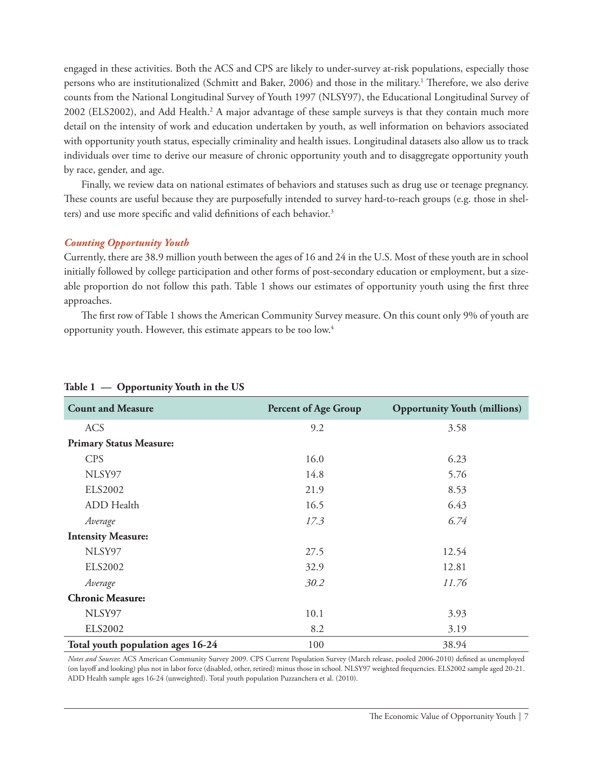engaged in these activities. Both the ACS and CPS are likely to under-survey at-risk populations, especially those persons who are institutionalized (Schmitt and Baker, 2006) and those in the military.<sup>1</sup> Therefore, we also derive counts from the National Longitudinal Survey of Youth 1997 (NLSY97), the Educational Longitudinal Survey of 2002 (ELS2002), and Add Health.<sup>2</sup> A major advantage of these sample surveys is that they contain much more detail on the intensity of work and education undertaken by youth, as well information on behaviors associated with opportunity youth status, especially criminality and health issues. Longitudinal datasets also allow us to track individuals over time to derive our measure of chronic opportunity youth and to disaggregate opportunity youth by race, gender, and age.

Finally, we review data on national estimates of behaviors and statuses such as drug use or teenage pregnancy. These counts are useful because they are purposefully intended to survey hard-to-reach groups (e.g. those in shelters) and use more specific and valid definitions of each behavior.<sup>3</sup>

#### *Counting Opportunity Youth*

Currently, there are 38.9 million youth between the ages of 16 and 24 in the U.S. Most of these youth are in school initially followed by college participation and other forms of post-secondary education or employment, but a sizeable proportion do not follow this path. Table 1 shows our estimates of opportunity youth using the first three approaches.

The first row of Table 1 shows the American Community Survey measure. On this count only 9% of youth are opportunity youth. However, this estimate appears to be too low.4

| <b>Count and Measure</b>          | <b>Percent of Age Group</b> | <b>Opportunity Youth (millions)</b> |
|-----------------------------------|-----------------------------|-------------------------------------|
| <b>ACS</b>                        | 9.2                         | 3.58                                |
| <b>Primary Status Measure:</b>    |                             |                                     |
| <b>CPS</b>                        | 16.0                        | 6.23                                |
| NLSY97                            | 14.8                        | 5.76                                |
| <b>ELS2002</b>                    | 21.9                        | 8.53                                |
| ADD Health                        | 16.5                        | 6.43                                |
| Average                           | 17.3                        | 6.74                                |
| <b>Intensity Measure:</b>         |                             |                                     |
| NLSY97                            | 27.5                        | 12.54                               |
| <b>ELS2002</b>                    | 32.9                        | 12.81                               |
| Average                           | 30.2                        | 11.76                               |
| <b>Chronic Measure:</b>           |                             |                                     |
| NLSY97                            | 10.1                        | 3.93                                |
| <b>ELS2002</b>                    | 8.2                         | 3.19                                |
| Total youth population ages 16-24 | 100                         | 38.94                               |

#### **Table 1 — Opportunity Youth in the US**

*Notes and Sources*: ACS American Community Survey 2009. CPS Current Population Survey (March release, pooled 2006-2010) defined as unemployed (on layoff and looking) plus not in labor force (disabled, other, retired) minus those in school. NLSY97 weighted frequencies. ELS2002 sample aged 20-21. ADD Health sample ages 16-24 (unweighted). Total youth population Puzzanchera et al. (2010).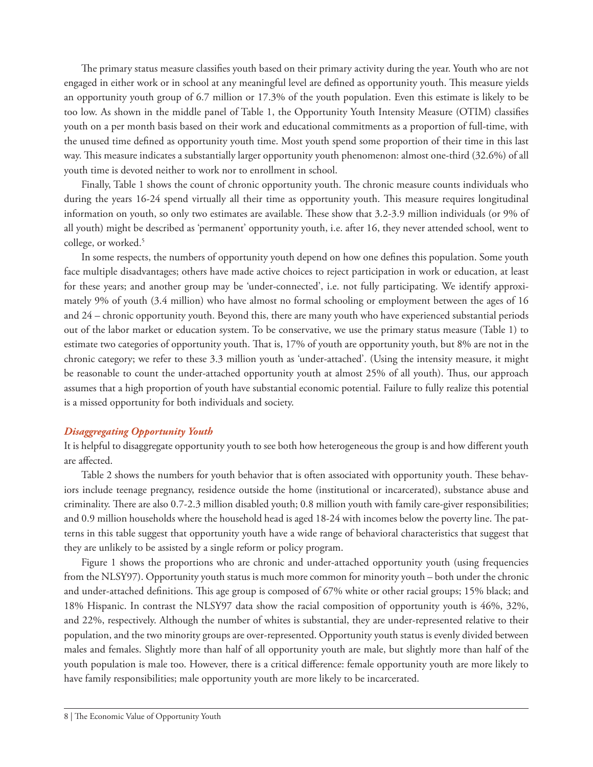The primary status measure classifies youth based on their primary activity during the year. Youth who are not engaged in either work or in school at any meaningful level are defined as opportunity youth. This measure yields an opportunity youth group of 6.7 million or 17.3% of the youth population. Even this estimate is likely to be too low. As shown in the middle panel of Table 1, the Opportunity Youth Intensity Measure (OTIM) classifies youth on a per month basis based on their work and educational commitments as a proportion of full-time, with the unused time defined as opportunity youth time. Most youth spend some proportion of their time in this last way. This measure indicates a substantially larger opportunity youth phenomenon: almost one-third (32.6%) of all youth time is devoted neither to work nor to enrollment in school.

Finally, Table 1 shows the count of chronic opportunity youth. The chronic measure counts individuals who during the years 16-24 spend virtually all their time as opportunity youth. This measure requires longitudinal information on youth, so only two estimates are available. These show that 3.2-3.9 million individuals (or 9% of all youth) might be described as 'permanent' opportunity youth, i.e. after 16, they never attended school, went to college, or worked.<sup>5</sup>

In some respects, the numbers of opportunity youth depend on how one defines this population. Some youth face multiple disadvantages; others have made active choices to reject participation in work or education, at least for these years; and another group may be 'under-connected', i.e. not fully participating. We identify approximately 9% of youth (3.4 million) who have almost no formal schooling or employment between the ages of 16 and 24 – chronic opportunity youth. Beyond this, there are many youth who have experienced substantial periods out of the labor market or education system. To be conservative, we use the primary status measure (Table 1) to estimate two categories of opportunity youth. That is, 17% of youth are opportunity youth, but 8% are not in the chronic category; we refer to these 3.3 million youth as 'under-attached'. (Using the intensity measure, it might be reasonable to count the under-attached opportunity youth at almost 25% of all youth). Thus, our approach assumes that a high proportion of youth have substantial economic potential. Failure to fully realize this potential is a missed opportunity for both individuals and society.

#### *Disaggregating Opportunity Youth*

It is helpful to disaggregate opportunity youth to see both how heterogeneous the group is and how different youth are affected.

Table 2 shows the numbers for youth behavior that is often associated with opportunity youth. These behaviors include teenage pregnancy, residence outside the home (institutional or incarcerated), substance abuse and criminality. There are also 0.7-2.3 million disabled youth; 0.8 million youth with family care-giver responsibilities; and 0.9 million households where the household head is aged 18-24 with incomes below the poverty line. The patterns in this table suggest that opportunity youth have a wide range of behavioral characteristics that suggest that they are unlikely to be assisted by a single reform or policy program.

Figure 1 shows the proportions who are chronic and under-attached opportunity youth (using frequencies from the NLSY97). Opportunity youth status is much more common for minority youth – both under the chronic and under-attached definitions. This age group is composed of 67% white or other racial groups; 15% black; and 18% Hispanic. In contrast the NLSY97 data show the racial composition of opportunity youth is 46%, 32%, and 22%, respectively. Although the number of whites is substantial, they are under-represented relative to their population, and the two minority groups are over-represented. Opportunity youth status is evenly divided between males and females. Slightly more than half of all opportunity youth are male, but slightly more than half of the youth population is male too. However, there is a critical difference: female opportunity youth are more likely to have family responsibilities; male opportunity youth are more likely to be incarcerated.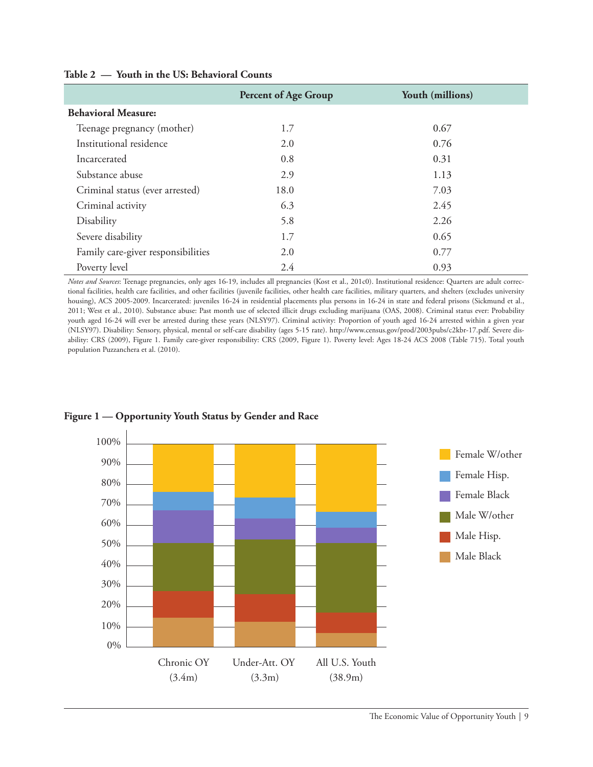|                                    | <b>Percent of Age Group</b> | Youth (millions) |
|------------------------------------|-----------------------------|------------------|
| <b>Behavioral Measure:</b>         |                             |                  |
| Teenage pregnancy (mother)         | 1.7                         | 0.67             |
| Institutional residence            | 2.0                         | 0.76             |
| Incarcerated                       | 0.8                         | 0.31             |
| Substance abuse                    | 2.9                         | 1.13             |
| Criminal status (ever arrested)    | 18.0                        | 7.03             |
| Criminal activity                  | 6.3                         | 2.45             |
| Disability                         | 5.8                         | 2.26             |
| Severe disability                  | 1.7                         | 0.65             |
| Family care-giver responsibilities | 2.0                         | 0.77             |
| Poverty level                      | 2.4                         | 0.93             |

#### **Table 2 — Youth in the US: Behavioral Counts**

*Notes and Sources*: Teenage pregnancies, only ages 16-19, includes all pregnancies (Kost et al., 201c0). Institutional residence: Quarters are adult correctional facilities, health care facilities, and other facilities (juvenile facilities, other health care facilities, military quarters, and shelters (excludes university housing), ACS 2005-2009. Incarcerated: juveniles 16-24 in residential placements plus persons in 16-24 in state and federal prisons (Sickmund et al., 2011; West et al., 2010). Substance abuse: Past month use of selected illicit drugs excluding marijuana (OAS, 2008). Criminal status ever: Probability youth aged 16-24 will ever be arrested during these years (NLSY97). Criminal activity: Proportion of youth aged 16-24 arrested within a given year (NLSY97). Disability: Sensory, physical, mental or self-care disability (ages 5-15 rate). http://www.census.gov/prod/2003pubs/c2kbr-17.pdf. Severe disability: CRS (2009), Figure 1. Family care-giver responsibility: CRS (2009, Figure 1). Poverty level: Ages 18-24 ACS 2008 (Table 715). Total youth population Puzzanchera et al. (2010).



#### **Figure 1 — Opportunity Youth Status by Gender and Race**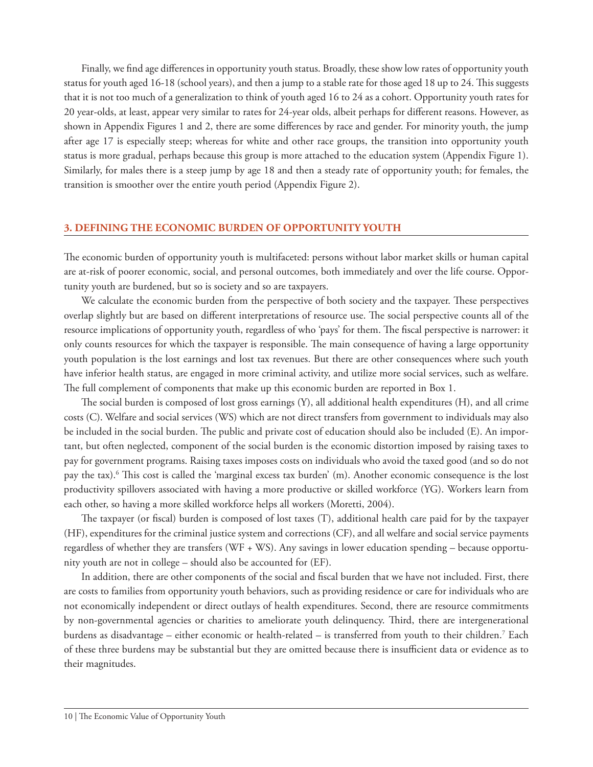Finally, we find age differences in opportunity youth status. Broadly, these show low rates of opportunity youth status for youth aged 16-18 (school years), and then a jump to a stable rate for those aged 18 up to 24. This suggests that it is not too much of a generalization to think of youth aged 16 to 24 as a cohort. Opportunity youth rates for 20 year-olds, at least, appear very similar to rates for 24-year olds, albeit perhaps for different reasons. However, as shown in Appendix Figures 1 and 2, there are some differences by race and gender. For minority youth, the jump after age 17 is especially steep; whereas for white and other race groups, the transition into opportunity youth status is more gradual, perhaps because this group is more attached to the education system (Appendix Figure 1). Similarly, for males there is a steep jump by age 18 and then a steady rate of opportunity youth; for females, the transition is smoother over the entire youth period (Appendix Figure 2).

#### **3. Defining the Economic Burden of Opportunity Youth**

The economic burden of opportunity youth is multifaceted: persons without labor market skills or human capital are at-risk of poorer economic, social, and personal outcomes, both immediately and over the life course. Opportunity youth are burdened, but so is society and so are taxpayers.

We calculate the economic burden from the perspective of both society and the taxpayer. These perspectives overlap slightly but are based on different interpretations of resource use. The social perspective counts all of the resource implications of opportunity youth, regardless of who 'pays' for them. The fiscal perspective is narrower: it only counts resources for which the taxpayer is responsible. The main consequence of having a large opportunity youth population is the lost earnings and lost tax revenues. But there are other consequences where such youth have inferior health status, are engaged in more criminal activity, and utilize more social services, such as welfare. The full complement of components that make up this economic burden are reported in Box 1.

The social burden is composed of lost gross earnings (Y), all additional health expenditures (H), and all crime costs (C). Welfare and social services (WS) which are not direct transfers from government to individuals may also be included in the social burden. The public and private cost of education should also be included (E). An important, but often neglected, component of the social burden is the economic distortion imposed by raising taxes to pay for government programs. Raising taxes imposes costs on individuals who avoid the taxed good (and so do not pay the tax).<sup>6</sup> This cost is called the 'marginal excess tax burden' (m). Another economic consequence is the lost productivity spillovers associated with having a more productive or skilled workforce (YG). Workers learn from each other, so having a more skilled workforce helps all workers (Moretti, 2004).

The taxpayer (or fiscal) burden is composed of lost taxes (T), additional health care paid for by the taxpayer (HF), expenditures for the criminal justice system and corrections (CF), and all welfare and social service payments regardless of whether they are transfers (WF + WS). Any savings in lower education spending – because opportunity youth are not in college – should also be accounted for (EF).

In addition, there are other components of the social and fiscal burden that we have not included. First, there are costs to families from opportunity youth behaviors, such as providing residence or care for individuals who are not economically independent or direct outlays of health expenditures. Second, there are resource commitments by non-governmental agencies or charities to ameliorate youth delinquency. Third, there are intergenerational burdens as disadvantage – either economic or health-related – is transferred from youth to their children.7 Each of these three burdens may be substantial but they are omitted because there is insufficient data or evidence as to their magnitudes.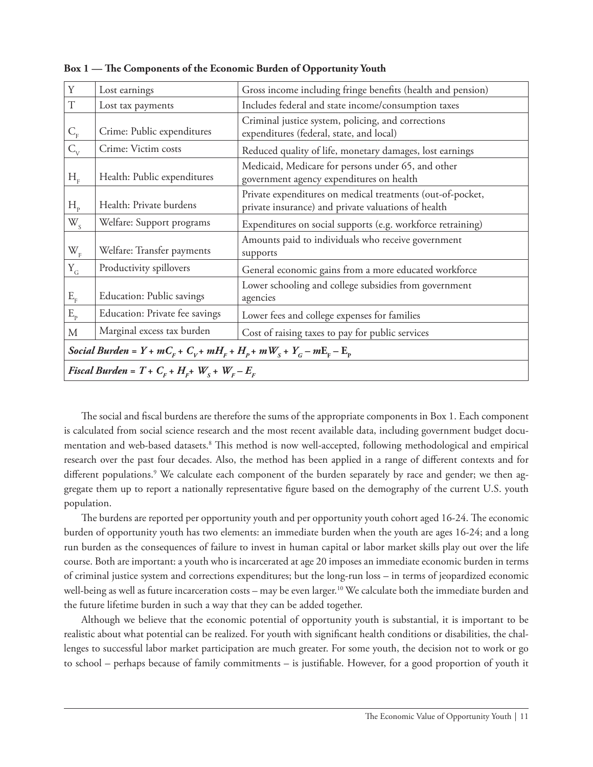| $\mathbf Y$                                                        | Lost earnings                                                                  | Gross income including fringe benefits (health and pension)                                                       |  |  |
|--------------------------------------------------------------------|--------------------------------------------------------------------------------|-------------------------------------------------------------------------------------------------------------------|--|--|
| $\mathbf T$                                                        | Lost tax payments                                                              | Includes federal and state income/consumption taxes                                                               |  |  |
| $C_{\rm F}$                                                        | Crime: Public expenditures                                                     | Criminal justice system, policing, and corrections<br>expenditures (federal, state, and local)                    |  |  |
| $C_{V}$                                                            | Crime: Victim costs                                                            | Reduced quality of life, monetary damages, lost earnings                                                          |  |  |
| $H_F$                                                              | Health: Public expenditures                                                    | Medicaid, Medicare for persons under 65, and other<br>government agency expenditures on health                    |  |  |
| $H_{p}$                                                            | Health: Private burdens                                                        | Private expenditures on medical treatments (out-of-pocket,<br>private insurance) and private valuations of health |  |  |
| $W_{S}$                                                            | Welfare: Support programs                                                      | Expenditures on social supports (e.g. workforce retraining)                                                       |  |  |
| $W_F$                                                              | Welfare: Transfer payments                                                     | Amounts paid to individuals who receive government<br>supports                                                    |  |  |
| $Y_G$                                                              | Productivity spillovers                                                        | General economic gains from a more educated workforce                                                             |  |  |
| $\mathbf{E}_{\rm F}$                                               | Education: Public savings                                                      | Lower schooling and college subsidies from government<br>agencies                                                 |  |  |
| $E_{\rm p}$                                                        | Education: Private fee savings                                                 | Lower fees and college expenses for families                                                                      |  |  |
| $\mathbf{M}$                                                       | Marginal excess tax burden                                                     | Cost of raising taxes to pay for public services                                                                  |  |  |
|                                                                    | <i>Social Burden</i> = $Y + mC_r + C_v + mH_r + H_p + mW_s + Y_c - mE_r - E_p$ |                                                                                                                   |  |  |
| <i>Fiscal Burden</i> = $T + C_{F} + H_{F} + W_{S} + W_{F} - E_{F}$ |                                                                                |                                                                                                                   |  |  |

**Box 1 — The Components of the Economic Burden of Opportunity Youth**

The social and fiscal burdens are therefore the sums of the appropriate components in Box 1. Each component is calculated from social science research and the most recent available data, including government budget documentation and web-based datasets.<sup>8</sup> This method is now well-accepted, following methodological and empirical research over the past four decades. Also, the method has been applied in a range of different contexts and for different populations.<sup>9</sup> We calculate each component of the burden separately by race and gender; we then aggregate them up to report a nationally representative figure based on the demography of the current U.S. youth population.

The burdens are reported per opportunity youth and per opportunity youth cohort aged 16-24. The economic burden of opportunity youth has two elements: an immediate burden when the youth are ages 16-24; and a long run burden as the consequences of failure to invest in human capital or labor market skills play out over the life course. Both are important: a youth who is incarcerated at age 20 imposes an immediate economic burden in terms of criminal justice system and corrections expenditures; but the long-run loss – in terms of jeopardized economic well-being as well as future incarceration costs – may be even larger.<sup>10</sup> We calculate both the immediate burden and the future lifetime burden in such a way that they can be added together.

Although we believe that the economic potential of opportunity youth is substantial, it is important to be realistic about what potential can be realized. For youth with significant health conditions or disabilities, the challenges to successful labor market participation are much greater. For some youth, the decision not to work or go to school – perhaps because of family commitments – is justifiable. However, for a good proportion of youth it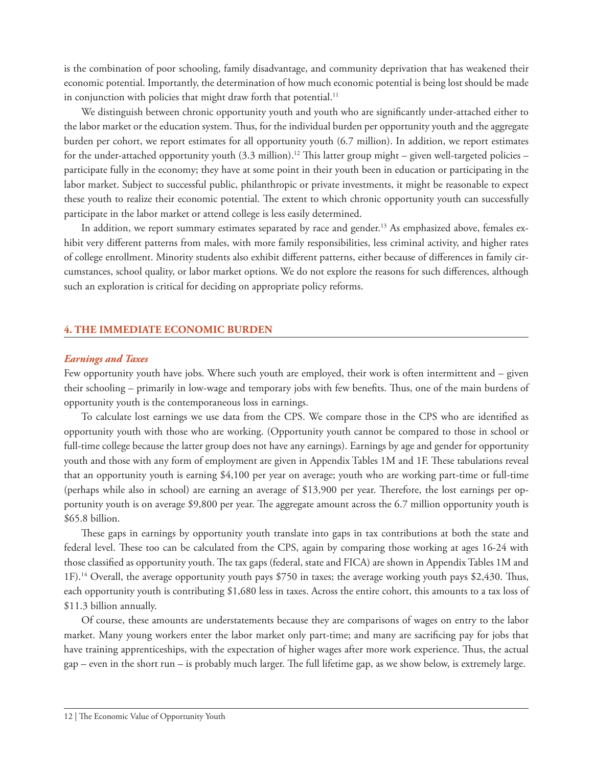is the combination of poor schooling, family disadvantage, and community deprivation that has weakened their economic potential. Importantly, the determination of how much economic potential is being lost should be made in conjunction with policies that might draw forth that potential. $11$ 

We distinguish between chronic opportunity youth and youth who are significantly under-attached either to the labor market or the education system. Thus, for the individual burden per opportunity youth and the aggregate burden per cohort, we report estimates for all opportunity youth (6.7 million). In addition, we report estimates for the under-attached opportunity youth  $(3.3 \text{ million})$ .<sup>12</sup> This latter group might – given well-targeted policies – participate fully in the economy; they have at some point in their youth been in education or participating in the labor market. Subject to successful public, philanthropic or private investments, it might be reasonable to expect these youth to realize their economic potential. The extent to which chronic opportunity youth can successfully participate in the labor market or attend college is less easily determined.

In addition, we report summary estimates separated by race and gender.<sup>13</sup> As emphasized above, females exhibit very different patterns from males, with more family responsibilities, less criminal activity, and higher rates of college enrollment. Minority students also exhibit different patterns, either because of differences in family circumstances, school quality, or labor market options. We do not explore the reasons for such differences, although such an exploration is critical for deciding on appropriate policy reforms.

#### **4. The Immediate Economic Burden**

#### *Earnings and Taxes*

Few opportunity youth have jobs. Where such youth are employed, their work is often intermittent and – given their schooling – primarily in low-wage and temporary jobs with few benefits. Thus, one of the main burdens of opportunity youth is the contemporaneous loss in earnings.

To calculate lost earnings we use data from the CPS. We compare those in the CPS who are identified as opportunity youth with those who are working. (Opportunity youth cannot be compared to those in school or full-time college because the latter group does not have any earnings). Earnings by age and gender for opportunity youth and those with any form of employment are given in Appendix Tables 1M and 1F. These tabulations reveal that an opportunity youth is earning \$4,100 per year on average; youth who are working part-time or full-time (perhaps while also in school) are earning an average of \$13,900 per year. Therefore, the lost earnings per opportunity youth is on average \$9,800 per year. The aggregate amount across the 6.7 million opportunity youth is \$65.8 billion.

These gaps in earnings by opportunity youth translate into gaps in tax contributions at both the state and federal level. These too can be calculated from the CPS, again by comparing those working at ages 16-24 with those classified as opportunity youth. The tax gaps (federal, state and FICA) are shown in Appendix Tables 1M and 1F).14 Overall, the average opportunity youth pays \$750 in taxes; the average working youth pays \$2,430. Thus, each opportunity youth is contributing \$1,680 less in taxes. Across the entire cohort, this amounts to a tax loss of \$11.3 billion annually.

Of course, these amounts are understatements because they are comparisons of wages on entry to the labor market. Many young workers enter the labor market only part-time; and many are sacrificing pay for jobs that have training apprenticeships, with the expectation of higher wages after more work experience. Thus, the actual gap – even in the short run – is probably much larger. The full lifetime gap, as we show below, is extremely large.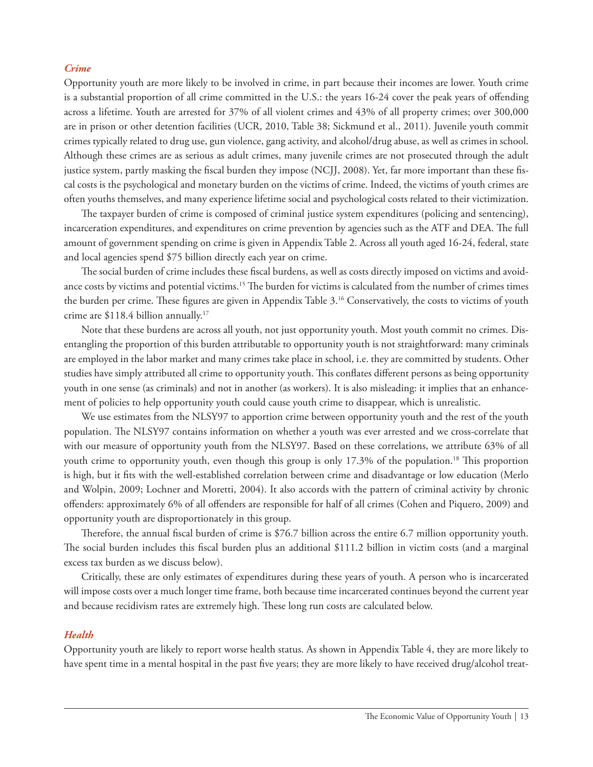#### *Crime*

Opportunity youth are more likely to be involved in crime, in part because their incomes are lower. Youth crime is a substantial proportion of all crime committed in the U.S.: the years 16-24 cover the peak years of offending across a lifetime. Youth are arrested for 37% of all violent crimes and 43% of all property crimes; over 300,000 are in prison or other detention facilities (UCR, 2010, Table 38; Sickmund et al., 2011). Juvenile youth commit crimes typically related to drug use, gun violence, gang activity, and alcohol/drug abuse, as well as crimes in school. Although these crimes are as serious as adult crimes, many juvenile crimes are not prosecuted through the adult justice system, partly masking the fiscal burden they impose (NCJJ, 2008). Yet, far more important than these fiscal costs is the psychological and monetary burden on the victims of crime. Indeed, the victims of youth crimes are often youths themselves, and many experience lifetime social and psychological costs related to their victimization.

The taxpayer burden of crime is composed of criminal justice system expenditures (policing and sentencing), incarceration expenditures, and expenditures on crime prevention by agencies such as the ATF and DEA. The full amount of government spending on crime is given in Appendix Table 2. Across all youth aged 16-24, federal, state and local agencies spend \$75 billion directly each year on crime.

The social burden of crime includes these fiscal burdens, as well as costs directly imposed on victims and avoidance costs by victims and potential victims.15 The burden for victims is calculated from the number of crimes times the burden per crime. These figures are given in Appendix Table 3.<sup>16</sup> Conservatively, the costs to victims of youth crime are \$118.4 billion annually.17

Note that these burdens are across all youth, not just opportunity youth. Most youth commit no crimes. Disentangling the proportion of this burden attributable to opportunity youth is not straightforward: many criminals are employed in the labor market and many crimes take place in school, i.e. they are committed by students. Other studies have simply attributed all crime to opportunity youth. This conflates different persons as being opportunity youth in one sense (as criminals) and not in another (as workers). It is also misleading: it implies that an enhancement of policies to help opportunity youth could cause youth crime to disappear, which is unrealistic.

We use estimates from the NLSY97 to apportion crime between opportunity youth and the rest of the youth population. The NLSY97 contains information on whether a youth was ever arrested and we cross-correlate that with our measure of opportunity youth from the NLSY97. Based on these correlations, we attribute 63% of all youth crime to opportunity youth, even though this group is only 17.3% of the population.<sup>18</sup> This proportion is high, but it fits with the well-established correlation between crime and disadvantage or low education (Merlo and Wolpin, 2009; Lochner and Moretti, 2004). It also accords with the pattern of criminal activity by chronic offenders: approximately 6% of all offenders are responsible for half of all crimes (Cohen and Piquero, 2009) and opportunity youth are disproportionately in this group.

Therefore, the annual fiscal burden of crime is \$76.7 billion across the entire 6.7 million opportunity youth. The social burden includes this fiscal burden plus an additional \$111.2 billion in victim costs (and a marginal excess tax burden as we discuss below).

Critically, these are only estimates of expenditures during these years of youth. A person who is incarcerated will impose costs over a much longer time frame, both because time incarcerated continues beyond the current year and because recidivism rates are extremely high. These long run costs are calculated below.

#### *Health*

Opportunity youth are likely to report worse health status. As shown in Appendix Table 4, they are more likely to have spent time in a mental hospital in the past five years; they are more likely to have received drug/alcohol treat-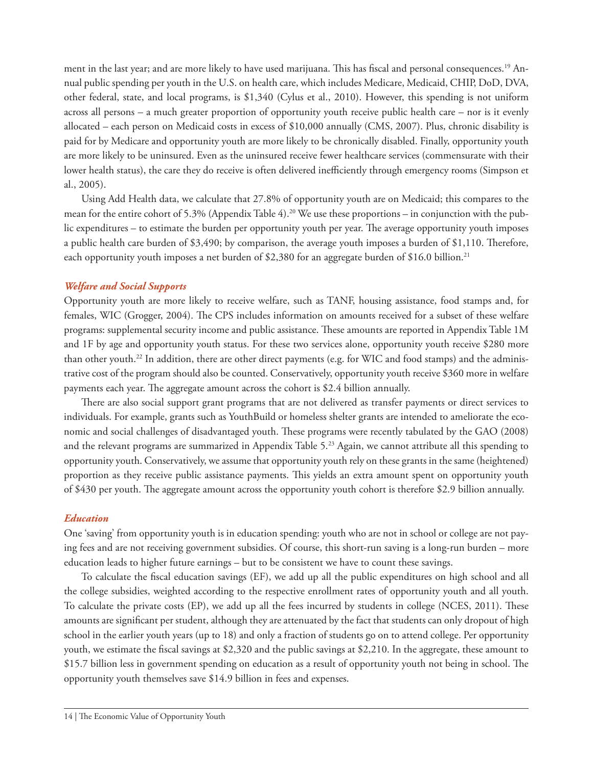ment in the last year; and are more likely to have used marijuana. This has fiscal and personal consequences.<sup>19</sup> Annual public spending per youth in the U.S. on health care, which includes Medicare, Medicaid, CHIP, DoD, DVA, other federal, state, and local programs, is \$1,340 (Cylus et al., 2010). However, this spending is not uniform across all persons – a much greater proportion of opportunity youth receive public health care – nor is it evenly allocated – each person on Medicaid costs in excess of \$10,000 annually (CMS, 2007). Plus, chronic disability is paid for by Medicare and opportunity youth are more likely to be chronically disabled. Finally, opportunity youth are more likely to be uninsured. Even as the uninsured receive fewer healthcare services (commensurate with their lower health status), the care they do receive is often delivered inefficiently through emergency rooms (Simpson et al., 2005).

Using Add Health data, we calculate that 27.8% of opportunity youth are on Medicaid; this compares to the mean for the entire cohort of 5.3% (Appendix Table 4).<sup>20</sup> We use these proportions – in conjunction with the public expenditures – to estimate the burden per opportunity youth per year. The average opportunity youth imposes a public health care burden of \$3,490; by comparison, the average youth imposes a burden of \$1,110. Therefore, each opportunity youth imposes a net burden of \$2,380 for an aggregate burden of \$16.0 billion.<sup>21</sup>

#### *Welfare and Social Supports*

Opportunity youth are more likely to receive welfare, such as TANF, housing assistance, food stamps and, for females, WIC (Grogger, 2004). The CPS includes information on amounts received for a subset of these welfare programs: supplemental security income and public assistance. These amounts are reported in Appendix Table 1M and 1F by age and opportunity youth status. For these two services alone, opportunity youth receive \$280 more than other youth.<sup>22</sup> In addition, there are other direct payments (e.g. for WIC and food stamps) and the administrative cost of the program should also be counted. Conservatively, opportunity youth receive \$360 more in welfare payments each year. The aggregate amount across the cohort is \$2.4 billion annually.

There are also social support grant programs that are not delivered as transfer payments or direct services to individuals. For example, grants such as YouthBuild or homeless shelter grants are intended to ameliorate the economic and social challenges of disadvantaged youth. These programs were recently tabulated by the GAO (2008) and the relevant programs are summarized in Appendix Table 5.<sup>23</sup> Again, we cannot attribute all this spending to opportunity youth. Conservatively, we assume that opportunity youth rely on these grants in the same (heightened) proportion as they receive public assistance payments. This yields an extra amount spent on opportunity youth of \$430 per youth. The aggregate amount across the opportunity youth cohort is therefore \$2.9 billion annually.

#### *Education*

One 'saving' from opportunity youth is in education spending: youth who are not in school or college are not paying fees and are not receiving government subsidies. Of course, this short-run saving is a long-run burden – more education leads to higher future earnings – but to be consistent we have to count these savings.

To calculate the fiscal education savings (EF), we add up all the public expenditures on high school and all the college subsidies, weighted according to the respective enrollment rates of opportunity youth and all youth. To calculate the private costs (EP), we add up all the fees incurred by students in college (NCES, 2011). These amounts are significant per student, although they are attenuated by the fact that students can only dropout of high school in the earlier youth years (up to 18) and only a fraction of students go on to attend college. Per opportunity youth, we estimate the fiscal savings at \$2,320 and the public savings at \$2,210. In the aggregate, these amount to \$15.7 billion less in government spending on education as a result of opportunity youth not being in school. The opportunity youth themselves save \$14.9 billion in fees and expenses.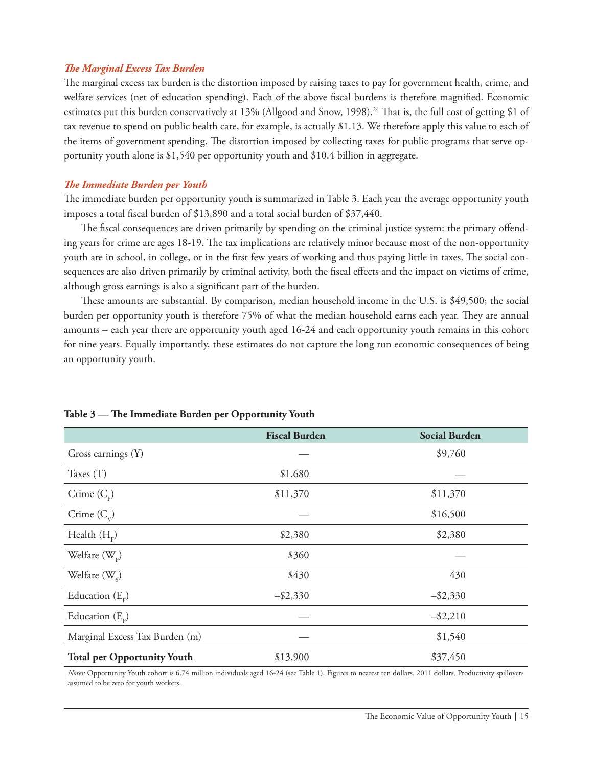#### *The Marginal Excess Tax Burden*

The marginal excess tax burden is the distortion imposed by raising taxes to pay for government health, crime, and welfare services (net of education spending). Each of the above fiscal burdens is therefore magnified. Economic estimates put this burden conservatively at 13% (Allgood and Snow, 1998).<sup>24</sup> That is, the full cost of getting \$1 of tax revenue to spend on public health care, for example, is actually \$1.13. We therefore apply this value to each of the items of government spending. The distortion imposed by collecting taxes for public programs that serve opportunity youth alone is \$1,540 per opportunity youth and \$10.4 billion in aggregate.

#### *The Immediate Burden per Youth*

The immediate burden per opportunity youth is summarized in Table 3. Each year the average opportunity youth imposes a total fiscal burden of \$13,890 and a total social burden of \$37,440.

The fiscal consequences are driven primarily by spending on the criminal justice system: the primary offending years for crime are ages 18-19. The tax implications are relatively minor because most of the non-opportunity youth are in school, in college, or in the first few years of working and thus paying little in taxes. The social consequences are also driven primarily by criminal activity, both the fiscal effects and the impact on victims of crime, although gross earnings is also a significant part of the burden.

These amounts are substantial. By comparison, median household income in the U.S. is \$49,500; the social burden per opportunity youth is therefore 75% of what the median household earns each year. They are annual amounts – each year there are opportunity youth aged 16-24 and each opportunity youth remains in this cohort for nine years. Equally importantly, these estimates do not capture the long run economic consequences of being an opportunity youth.

|                                    | <b>Fiscal Burden</b> | <b>Social Burden</b> |
|------------------------------------|----------------------|----------------------|
| Gross earnings (Y)                 |                      | \$9,760              |
| Taxes $(T)$                        | \$1,680              |                      |
| Crime $(C_{p})$                    | \$11,370             | \$11,370             |
| Crime $(C_v)$                      |                      | \$16,500             |
| Health $(H_{E})$                   | \$2,380              | \$2,380              |
| Welfare $(W_F)$                    | \$360                |                      |
| Welfare $(W_{S})$                  | \$430                | 430                  |
| Education $(E_{E})$                | $-$ \$2,330          | $-$ \$2,330          |
| Education $(E_p)$                  |                      | $-$ \$2,210          |
| Marginal Excess Tax Burden (m)     |                      | \$1,540              |
| <b>Total per Opportunity Youth</b> | \$13,900             | \$37,450             |

#### **Table 3 — The Immediate Burden per Opportunity Youth**

*Notes:* Opportunity Youth cohort is 6.74 million individuals aged 16-24 (see Table 1). Figures to nearest ten dollars. 2011 dollars. Productivity spillovers assumed to be zero for youth workers.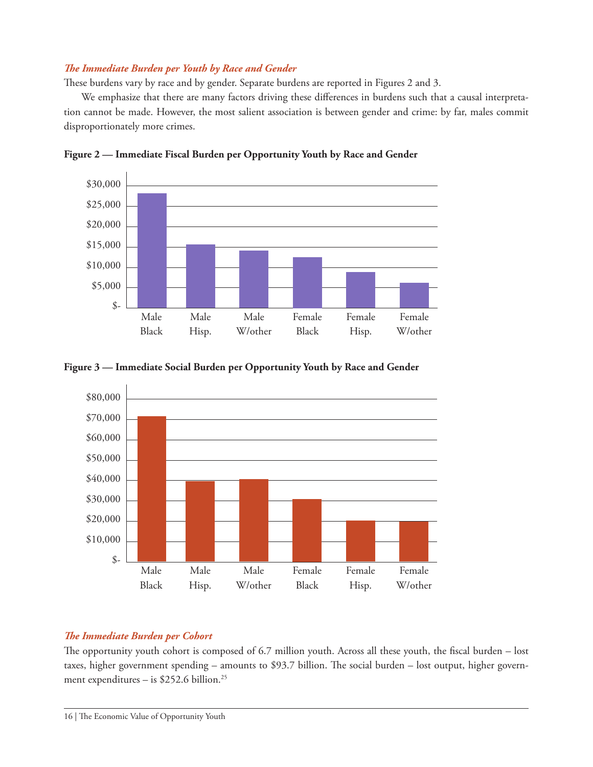#### *The Immediate Burden per Youth by Race and Gender*

These burdens vary by race and by gender. Separate burdens are reported in Figures 2 and 3.

We emphasize that there are many factors driving these differences in burdens such that a causal interpretation cannot be made. However, the most salient association is between gender and crime: by far, males commit disproportionately more crimes.



**Figure 2 — Immediate Fiscal Burden per Opportunity Youth by Race and Gender**

**Figure 3 — Immediate Social Burden per Opportunity Youth by Race and Gender**



#### *The Immediate Burden per Cohort*

The opportunity youth cohort is composed of 6.7 million youth. Across all these youth, the fiscal burden – lost taxes, higher government spending – amounts to \$93.7 billion. The social burden – lost output, higher government expenditures – is \$252.6 billion.<sup>25</sup>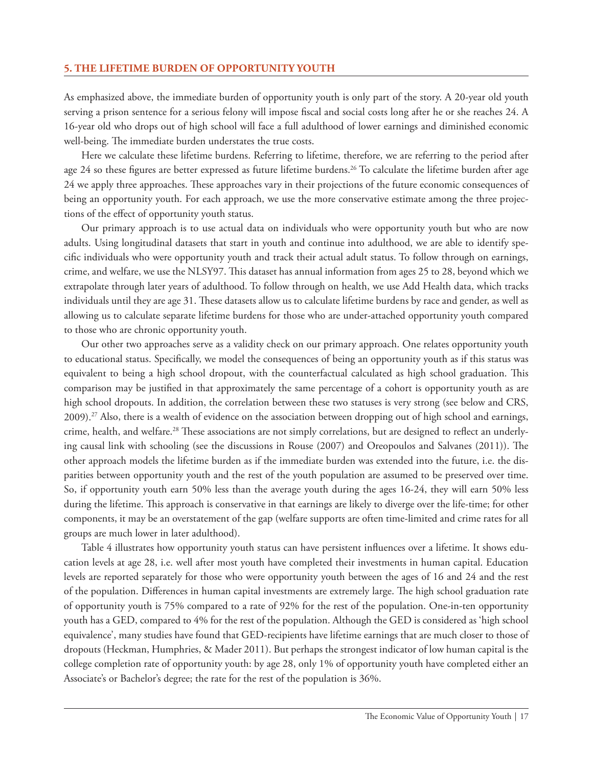#### **5. The Lifetime Burden of Opportunity Youth**

As emphasized above, the immediate burden of opportunity youth is only part of the story. A 20-year old youth serving a prison sentence for a serious felony will impose fiscal and social costs long after he or she reaches 24. A 16-year old who drops out of high school will face a full adulthood of lower earnings and diminished economic well-being. The immediate burden understates the true costs.

Here we calculate these lifetime burdens. Referring to lifetime, therefore, we are referring to the period after age 24 so these figures are better expressed as future lifetime burdens.<sup>26</sup> To calculate the lifetime burden after age 24 we apply three approaches. These approaches vary in their projections of the future economic consequences of being an opportunity youth. For each approach, we use the more conservative estimate among the three projections of the effect of opportunity youth status.

Our primary approach is to use actual data on individuals who were opportunity youth but who are now adults. Using longitudinal datasets that start in youth and continue into adulthood, we are able to identify specific individuals who were opportunity youth and track their actual adult status. To follow through on earnings, crime, and welfare, we use the NLSY97. This dataset has annual information from ages 25 to 28, beyond which we extrapolate through later years of adulthood. To follow through on health, we use Add Health data, which tracks individuals until they are age 31. These datasets allow us to calculate lifetime burdens by race and gender, as well as allowing us to calculate separate lifetime burdens for those who are under-attached opportunity youth compared to those who are chronic opportunity youth.

Our other two approaches serve as a validity check on our primary approach. One relates opportunity youth to educational status. Specifically, we model the consequences of being an opportunity youth as if this status was equivalent to being a high school dropout, with the counterfactual calculated as high school graduation. This comparison may be justified in that approximately the same percentage of a cohort is opportunity youth as are high school dropouts. In addition, the correlation between these two statuses is very strong (see below and CRS, 2009).27 Also, there is a wealth of evidence on the association between dropping out of high school and earnings, crime, health, and welfare.28 These associations are not simply correlations, but are designed to reflect an underlying causal link with schooling (see the discussions in Rouse (2007) and Oreopoulos and Salvanes (2011)). The other approach models the lifetime burden as if the immediate burden was extended into the future, i.e. the disparities between opportunity youth and the rest of the youth population are assumed to be preserved over time. So, if opportunity youth earn 50% less than the average youth during the ages 16-24, they will earn 50% less during the lifetime. This approach is conservative in that earnings are likely to diverge over the life-time; for other components, it may be an overstatement of the gap (welfare supports are often time-limited and crime rates for all groups are much lower in later adulthood).

Table 4 illustrates how opportunity youth status can have persistent influences over a lifetime. It shows education levels at age 28, i.e. well after most youth have completed their investments in human capital. Education levels are reported separately for those who were opportunity youth between the ages of 16 and 24 and the rest of the population. Differences in human capital investments are extremely large. The high school graduation rate of opportunity youth is 75% compared to a rate of 92% for the rest of the population. One-in-ten opportunity youth has a GED, compared to 4% for the rest of the population. Although the GED is considered as 'high school equivalence', many studies have found that GED-recipients have lifetime earnings that are much closer to those of dropouts (Heckman, Humphries, & Mader 2011). But perhaps the strongest indicator of low human capital is the college completion rate of opportunity youth: by age 28, only 1% of opportunity youth have completed either an Associate's or Bachelor's degree; the rate for the rest of the population is 36%.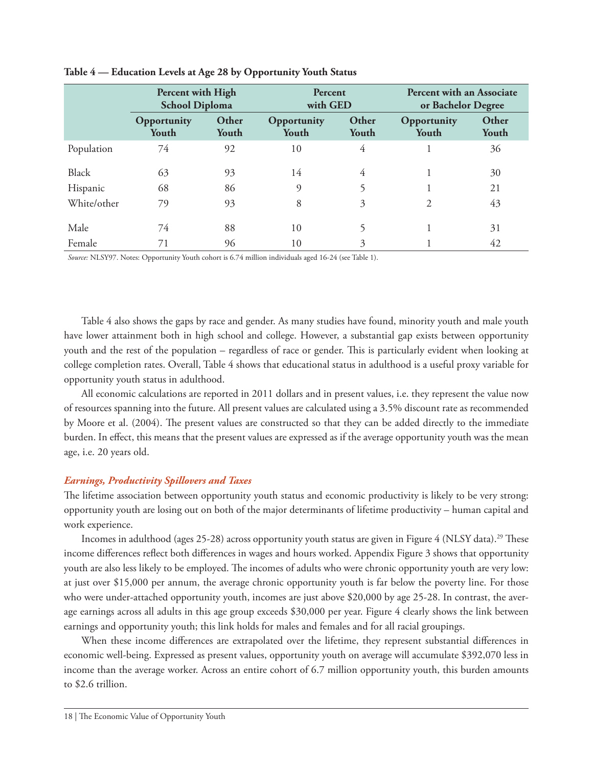|              | Percent with High<br><b>School Diploma</b> |                | Percent<br>with GED  |                | <b>Percent with an Associate</b><br>or Bachelor Degree |                |
|--------------|--------------------------------------------|----------------|----------------------|----------------|--------------------------------------------------------|----------------|
|              | Opportunity<br>Youth                       | Other<br>Youth | Opportunity<br>Youth | Other<br>Youth | Opportunity<br>Youth                                   | Other<br>Youth |
| Population   | 74                                         | 92             | 10                   | 4              |                                                        | 36             |
| <b>Black</b> | 63                                         | 93             | 14                   | 4              |                                                        | 30             |
| Hispanic     | 68                                         | 86             | 9                    | 5              |                                                        | 21             |
| White/other  | 79                                         | 93             | 8                    | 3              | 2                                                      | 43             |
| Male         | 74                                         | 88             | 10                   |                |                                                        | 31             |
| Female       | 71                                         | 96             | 10                   | 3              |                                                        | 42             |

#### **Table 4 — Education Levels at Age 28 by Opportunity Youth Status**

*Source:* NLSY97. Notes: Opportunity Youth cohort is 6.74 million individuals aged 16-24 (see Table 1).

Table 4 also shows the gaps by race and gender. As many studies have found, minority youth and male youth have lower attainment both in high school and college. However, a substantial gap exists between opportunity youth and the rest of the population – regardless of race or gender. This is particularly evident when looking at college completion rates. Overall, Table 4 shows that educational status in adulthood is a useful proxy variable for opportunity youth status in adulthood.

All economic calculations are reported in 2011 dollars and in present values, i.e. they represent the value now of resources spanning into the future. All present values are calculated using a 3.5% discount rate as recommended by Moore et al. (2004). The present values are constructed so that they can be added directly to the immediate burden. In effect, this means that the present values are expressed as if the average opportunity youth was the mean age, i.e. 20 years old.

#### *Earnings, Productivity Spillovers and Taxes*

The lifetime association between opportunity youth status and economic productivity is likely to be very strong: opportunity youth are losing out on both of the major determinants of lifetime productivity – human capital and work experience.

Incomes in adulthood (ages 25-28) across opportunity youth status are given in Figure 4 (NLSY data).29 These income differences reflect both differences in wages and hours worked. Appendix Figure 3 shows that opportunity youth are also less likely to be employed. The incomes of adults who were chronic opportunity youth are very low: at just over \$15,000 per annum, the average chronic opportunity youth is far below the poverty line. For those who were under-attached opportunity youth, incomes are just above \$20,000 by age 25-28. In contrast, the average earnings across all adults in this age group exceeds \$30,000 per year. Figure 4 clearly shows the link between earnings and opportunity youth; this link holds for males and females and for all racial groupings.

When these income differences are extrapolated over the lifetime, they represent substantial differences in economic well-being. Expressed as present values, opportunity youth on average will accumulate \$392,070 less in income than the average worker. Across an entire cohort of 6.7 million opportunity youth, this burden amounts to \$2.6 trillion.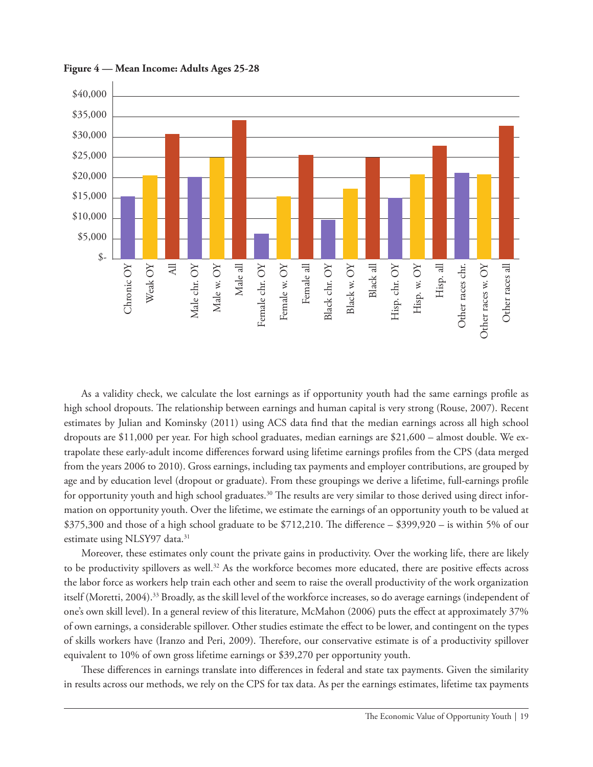

**Figure 4 — Mean Income: Adults Ages 25-28**

As a validity check, we calculate the lost earnings as if opportunity youth had the same earnings profile as high school dropouts. The relationship between earnings and human capital is very strong (Rouse, 2007). Recent estimates by Julian and Kominsky (2011) using ACS data find that the median earnings across all high school dropouts are \$11,000 per year. For high school graduates, median earnings are \$21,600 – almost double. We extrapolate these early-adult income differences forward using lifetime earnings profiles from the CPS (data merged from the years 2006 to 2010). Gross earnings, including tax payments and employer contributions, are grouped by age and by education level (dropout or graduate). From these groupings we derive a lifetime, full-earnings profile for opportunity youth and high school graduates.<sup>30</sup> The results are very similar to those derived using direct information on opportunity youth. Over the lifetime, we estimate the earnings of an opportunity youth to be valued at \$375,300 and those of a high school graduate to be \$712,210. The difference – \$399,920 – is within 5% of our estimate using NLSY97 data.<sup>31</sup>

Moreover, these estimates only count the private gains in productivity. Over the working life, there are likely to be productivity spillovers as well.<sup>32</sup> As the workforce becomes more educated, there are positive effects across the labor force as workers help train each other and seem to raise the overall productivity of the work organization itself (Moretti, 2004).33 Broadly, as the skill level of the workforce increases, so do average earnings (independent of one's own skill level). In a general review of this literature, McMahon (2006) puts the effect at approximately 37% of own earnings, a considerable spillover. Other studies estimate the effect to be lower, and contingent on the types of skills workers have (Iranzo and Peri, 2009). Therefore, our conservative estimate is of a productivity spillover equivalent to 10% of own gross lifetime earnings or \$39,270 per opportunity youth.

These differences in earnings translate into differences in federal and state tax payments. Given the similarity in results across our methods, we rely on the CPS for tax data. As per the earnings estimates, lifetime tax payments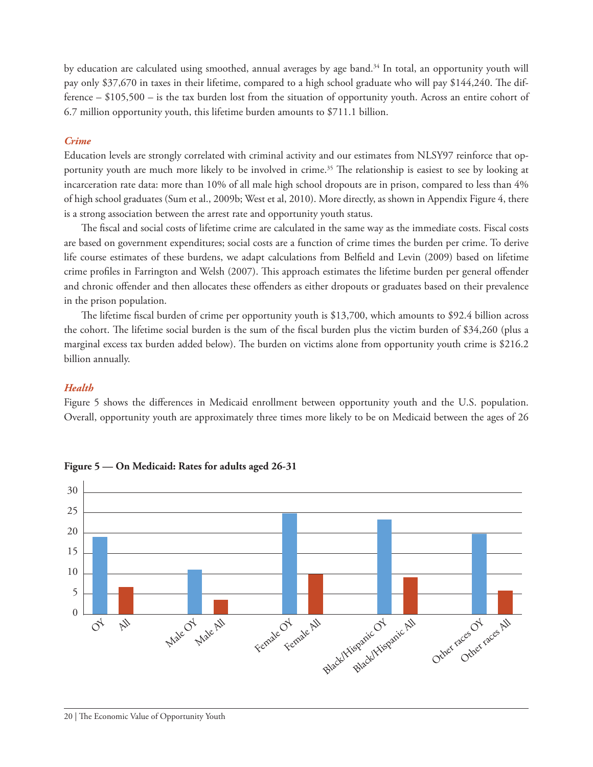by education are calculated using smoothed, annual averages by age band.<sup>34</sup> In total, an opportunity youth will pay only \$37,670 in taxes in their lifetime, compared to a high school graduate who will pay \$144,240. The difference – \$105,500 – is the tax burden lost from the situation of opportunity youth. Across an entire cohort of 6.7 million opportunity youth, this lifetime burden amounts to \$711.1 billion.

#### *Crime*

Education levels are strongly correlated with criminal activity and our estimates from NLSY97 reinforce that opportunity youth are much more likely to be involved in crime.<sup>35</sup> The relationship is easiest to see by looking at incarceration rate data: more than 10% of all male high school dropouts are in prison, compared to less than 4% of high school graduates (Sum et al., 2009b; West et al, 2010). More directly, as shown in Appendix Figure 4, there is a strong association between the arrest rate and opportunity youth status.

The fiscal and social costs of lifetime crime are calculated in the same way as the immediate costs. Fiscal costs are based on government expenditures; social costs are a function of crime times the burden per crime. To derive life course estimates of these burdens, we adapt calculations from Belfield and Levin (2009) based on lifetime crime profiles in Farrington and Welsh (2007). This approach estimates the lifetime burden per general offender and chronic offender and then allocates these offenders as either dropouts or graduates based on their prevalence in the prison population.

The lifetime fiscal burden of crime per opportunity youth is \$13,700, which amounts to \$92.4 billion across the cohort. The lifetime social burden is the sum of the fiscal burden plus the victim burden of \$34,260 (plus a marginal excess tax burden added below). The burden on victims alone from opportunity youth crime is \$216.2 billion annually.

#### *Health*

Figure 5 shows the differences in Medicaid enrollment between opportunity youth and the U.S. population. Overall, opportunity youth are approximately three times more likely to be on Medicaid between the ages of 26



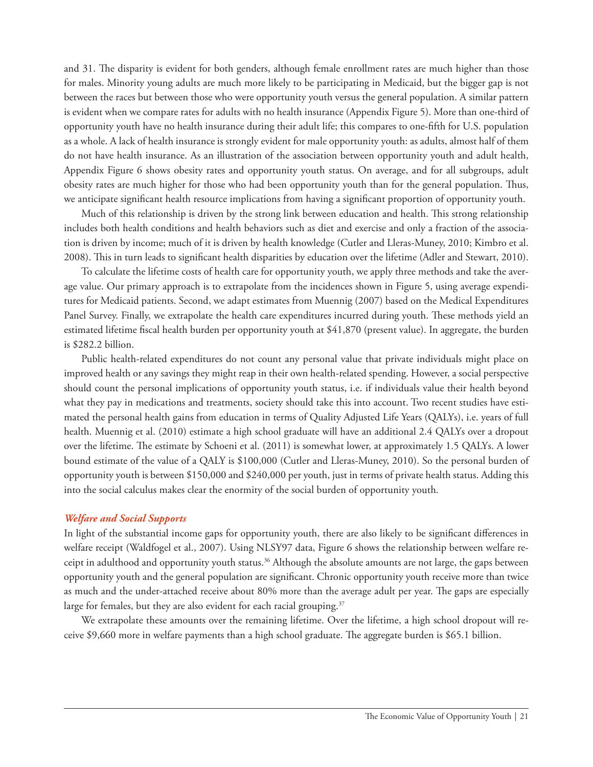and 31. The disparity is evident for both genders, although female enrollment rates are much higher than those for males. Minority young adults are much more likely to be participating in Medicaid, but the bigger gap is not between the races but between those who were opportunity youth versus the general population. A similar pattern is evident when we compare rates for adults with no health insurance (Appendix Figure 5). More than one-third of opportunity youth have no health insurance during their adult life; this compares to one-fifth for U.S. population as a whole. A lack of health insurance is strongly evident for male opportunity youth: as adults, almost half of them do not have health insurance. As an illustration of the association between opportunity youth and adult health, Appendix Figure 6 shows obesity rates and opportunity youth status. On average, and for all subgroups, adult obesity rates are much higher for those who had been opportunity youth than for the general population. Thus, we anticipate significant health resource implications from having a significant proportion of opportunity youth.

Much of this relationship is driven by the strong link between education and health. This strong relationship includes both health conditions and health behaviors such as diet and exercise and only a fraction of the association is driven by income; much of it is driven by health knowledge (Cutler and Lleras-Muney, 2010; Kimbro et al. 2008). This in turn leads to significant health disparities by education over the lifetime (Adler and Stewart, 2010).

To calculate the lifetime costs of health care for opportunity youth, we apply three methods and take the average value. Our primary approach is to extrapolate from the incidences shown in Figure 5, using average expenditures for Medicaid patients. Second, we adapt estimates from Muennig (2007) based on the Medical Expenditures Panel Survey. Finally, we extrapolate the health care expenditures incurred during youth. These methods yield an estimated lifetime fiscal health burden per opportunity youth at \$41,870 (present value). In aggregate, the burden is \$282.2 billion.

Public health-related expenditures do not count any personal value that private individuals might place on improved health or any savings they might reap in their own health-related spending. However, a social perspective should count the personal implications of opportunity youth status, i.e. if individuals value their health beyond what they pay in medications and treatments, society should take this into account. Two recent studies have estimated the personal health gains from education in terms of Quality Adjusted Life Years (QALYs), i.e. years of full health. Muennig et al. (2010) estimate a high school graduate will have an additional 2.4 QALYs over a dropout over the lifetime. The estimate by Schoeni et al. (2011) is somewhat lower, at approximately 1.5 QALYs. A lower bound estimate of the value of a QALY is \$100,000 (Cutler and Lleras-Muney, 2010). So the personal burden of opportunity youth is between \$150,000 and \$240,000 per youth, just in terms of private health status. Adding this into the social calculus makes clear the enormity of the social burden of opportunity youth.

#### *Welfare and Social Supports*

In light of the substantial income gaps for opportunity youth, there are also likely to be significant differences in welfare receipt (Waldfogel et al., 2007). Using NLSY97 data, Figure 6 shows the relationship between welfare receipt in adulthood and opportunity youth status.<sup>36</sup> Although the absolute amounts are not large, the gaps between opportunity youth and the general population are significant. Chronic opportunity youth receive more than twice as much and the under-attached receive about 80% more than the average adult per year. The gaps are especially large for females, but they are also evident for each racial grouping.<sup>37</sup>

We extrapolate these amounts over the remaining lifetime. Over the lifetime, a high school dropout will receive \$9,660 more in welfare payments than a high school graduate. The aggregate burden is \$65.1 billion.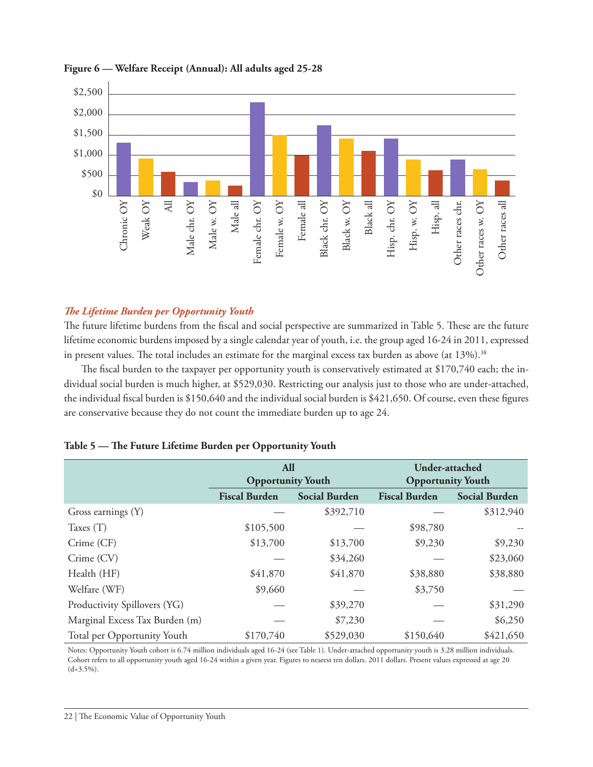

#### **Figure 6 — Welfare Receipt (Annual): All adults aged 25-28**

#### *The Lifetime Burden per Opportunity Youth*

The future lifetime burdens from the fiscal and social perspective are summarized in Table 5. These are the future lifetime economic burdens imposed by a single calendar year of youth, i.e. the group aged 16-24 in 2011, expressed in present values. The total includes an estimate for the marginal excess tax burden as above (at 13%).<sup>38</sup>

The fiscal burden to the taxpayer per opportunity youth is conservatively estimated at \$170,740 each; the individual social burden is much higher, at \$529,030. Restricting our analysis just to those who are under-attached, the individual fiscal burden is \$150,640 and the individual social burden is \$421,650. Of course, even these figures are conservative because they do not count the immediate burden up to age 24.

|                                | <b>All</b>               |                      | <b>Under-attached</b>    |                      |  |
|--------------------------------|--------------------------|----------------------|--------------------------|----------------------|--|
|                                | <b>Opportunity Youth</b> |                      | <b>Opportunity Youth</b> |                      |  |
|                                | <b>Fiscal Burden</b>     | <b>Social Burden</b> | <b>Fiscal Burden</b>     | <b>Social Burden</b> |  |
| Gross earnings (Y)             |                          | \$392,710            |                          | \$312,940            |  |
| Taxes $(T)$                    | \$105,500                |                      | \$98,780                 |                      |  |
| Crime (CF)                     | \$13,700                 | \$13,700             | \$9,230                  | \$9,230              |  |
| Crime (CV)                     |                          | \$34,260             |                          | \$23,060             |  |
| Health (HF)                    | \$41,870                 | \$41,870             | \$38,880                 | \$38,880             |  |
| Welfare (WF)                   | \$9,660                  |                      | \$3,750                  |                      |  |
| Productivity Spillovers (YG)   |                          | \$39,270             |                          | \$31,290             |  |
| Marginal Excess Tax Burden (m) |                          | \$7,230              |                          | \$6,250              |  |
| Total per Opportunity Youth    | \$170,740                | \$529,030            | \$150,640                | \$421,650            |  |

|  |  |  |  |  | Table 5 — The Future Lifetime Burden per Opportunity Youth |  |
|--|--|--|--|--|------------------------------------------------------------|--|
|--|--|--|--|--|------------------------------------------------------------|--|

Notes: Opportunity Youth cohort is 6.74 million individuals aged 16-24 (see Table 1). Under-attached opportunity youth is 3.28 million individuals. Cohort refers to all opportunity youth aged 16-24 within a given year. Figures to nearest ten dollars. 2011 dollars. Present values expressed at age 20 (d=3.5%).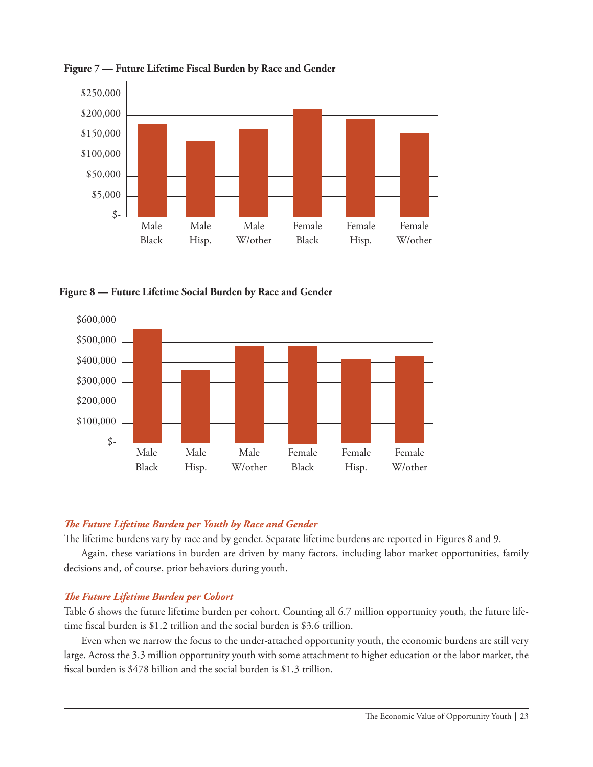

**Figure 7 — Future Lifetime Fiscal Burden by Race and Gender**





#### *The Future Lifetime Burden per Youth by Race and Gender*

The lifetime burdens vary by race and by gender. Separate lifetime burdens are reported in Figures 8 and 9.

Again, these variations in burden are driven by many factors, including labor market opportunities, family decisions and, of course, prior behaviors during youth.

#### *The Future Lifetime Burden per Cohort*

Table 6 shows the future lifetime burden per cohort. Counting all 6.7 million opportunity youth, the future lifetime fiscal burden is \$1.2 trillion and the social burden is \$3.6 trillion.

Even when we narrow the focus to the under-attached opportunity youth, the economic burdens are still very large. Across the 3.3 million opportunity youth with some attachment to higher education or the labor market, the fiscal burden is \$478 billion and the social burden is \$1.3 trillion.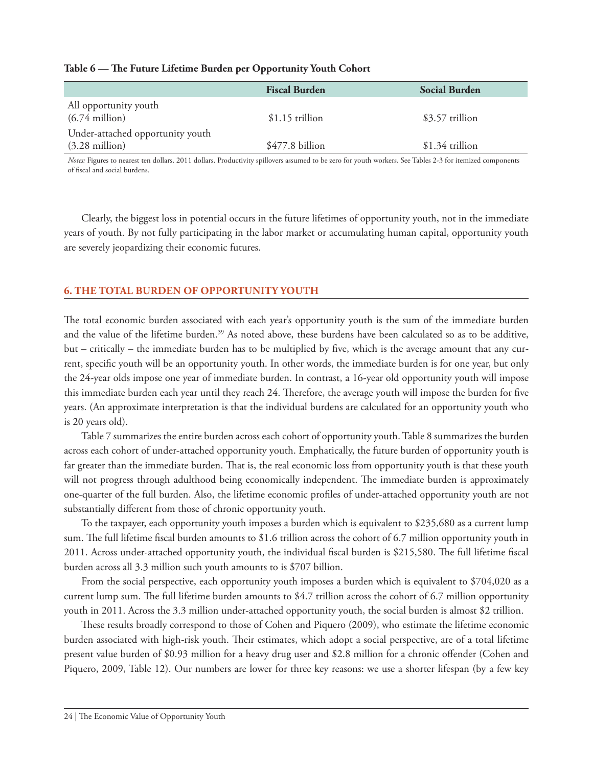|                                                              | <b>Fiscal Burden</b> | <b>Social Burden</b> |
|--------------------------------------------------------------|----------------------|----------------------|
| All opportunity youth<br>$(6.74$ million)                    | $$1.15$ trillion     | \$3.57 trillion      |
| Under-attached opportunity youth<br>$(3.28 \text{ million})$ | \$477.8 billion      | \$1.34 trillion      |

#### **Table 6 — The Future Lifetime Burden per Opportunity Youth Cohort**

*Notes:* Figures to nearest ten dollars. 2011 dollars. Productivity spillovers assumed to be zero for youth workers. See Tables 2-3 for itemized components of fiscal and social burdens.

Clearly, the biggest loss in potential occurs in the future lifetimes of opportunity youth, not in the immediate years of youth. By not fully participating in the labor market or accumulating human capital, opportunity youth are severely jeopardizing their economic futures.

#### **6. The Total Burden of Opportunity Youth**

The total economic burden associated with each year's opportunity youth is the sum of the immediate burden and the value of the lifetime burden.39 As noted above, these burdens have been calculated so as to be additive, but – critically – the immediate burden has to be multiplied by five, which is the average amount that any current, specific youth will be an opportunity youth. In other words, the immediate burden is for one year, but only the 24-year olds impose one year of immediate burden. In contrast, a 16-year old opportunity youth will impose this immediate burden each year until they reach 24. Therefore, the average youth will impose the burden for five years. (An approximate interpretation is that the individual burdens are calculated for an opportunity youth who is 20 years old).

Table 7 summarizes the entire burden across each cohort of opportunity youth. Table 8 summarizes the burden across each cohort of under-attached opportunity youth. Emphatically, the future burden of opportunity youth is far greater than the immediate burden. That is, the real economic loss from opportunity youth is that these youth will not progress through adulthood being economically independent. The immediate burden is approximately one-quarter of the full burden. Also, the lifetime economic profiles of under-attached opportunity youth are not substantially different from those of chronic opportunity youth.

To the taxpayer, each opportunity youth imposes a burden which is equivalent to \$235,680 as a current lump sum. The full lifetime fiscal burden amounts to \$1.6 trillion across the cohort of 6.7 million opportunity youth in 2011. Across under-attached opportunity youth, the individual fiscal burden is \$215,580. The full lifetime fiscal burden across all 3.3 million such youth amounts to is \$707 billion.

From the social perspective, each opportunity youth imposes a burden which is equivalent to \$704,020 as a current lump sum. The full lifetime burden amounts to \$4.7 trillion across the cohort of 6.7 million opportunity youth in 2011. Across the 3.3 million under-attached opportunity youth, the social burden is almost \$2 trillion.

These results broadly correspond to those of Cohen and Piquero (2009), who estimate the lifetime economic burden associated with high-risk youth. Their estimates, which adopt a social perspective, are of a total lifetime present value burden of \$0.93 million for a heavy drug user and \$2.8 million for a chronic offender (Cohen and Piquero, 2009, Table 12). Our numbers are lower for three key reasons: we use a shorter lifespan (by a few key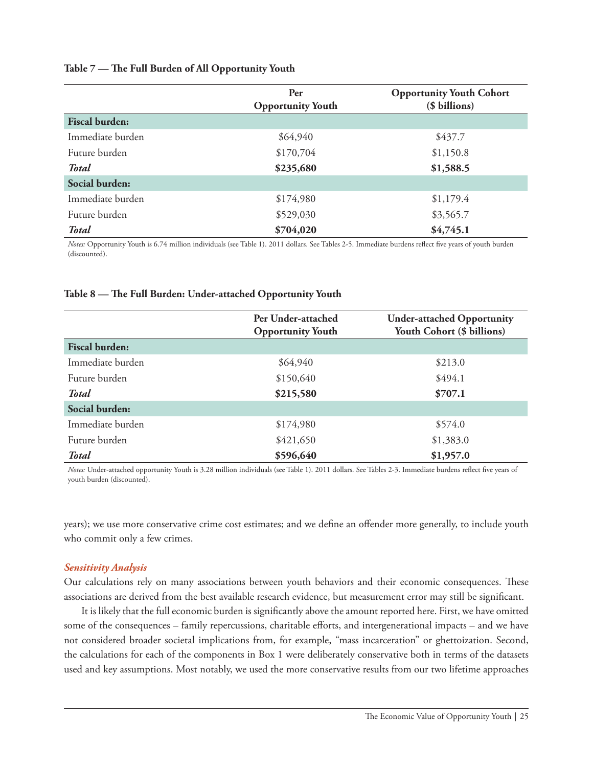#### **Table 7 — The Full Burden of All Opportunity Youth**

|                       | Per<br><b>Opportunity Youth</b> | <b>Opportunity Youth Cohort</b><br>(\$ billions) |
|-----------------------|---------------------------------|--------------------------------------------------|
| <b>Fiscal burden:</b> |                                 |                                                  |
| Immediate burden      | \$64,940                        | \$437.7                                          |
| Future burden         | \$170,704                       | \$1,150.8                                        |
| <b>Total</b>          | \$235,680                       | \$1,588.5                                        |
| Social burden:        |                                 |                                                  |
| Immediate burden      | \$174,980                       | \$1,179.4                                        |
| Future burden         | \$529,030                       | \$3,565.7                                        |
| <b>Total</b>          | \$704,020                       | \$4,745.1                                        |

*Notes:* Opportunity Youth is 6.74 million individuals (see Table 1). 2011 dollars. See Tables 2-5. Immediate burdens reflect five years of youth burden (discounted).

#### **Table 8 — The Full Burden: Under-attached Opportunity Youth**

|                       | Per Under-attached<br><b>Opportunity Youth</b> | <b>Under-attached Opportunity</b><br>Youth Cohort (\$ billions) |
|-----------------------|------------------------------------------------|-----------------------------------------------------------------|
| <b>Fiscal burden:</b> |                                                |                                                                 |
| Immediate burden      | \$64,940                                       | \$213.0                                                         |
| Future burden         | \$150,640                                      | \$494.1                                                         |
| <b>Total</b>          | \$215,580                                      | \$707.1                                                         |
| Social burden:        |                                                |                                                                 |
| Immediate burden      | \$174,980                                      | \$574.0                                                         |
| Future burden         | \$421,650                                      | \$1,383.0                                                       |
| <b>Total</b>          | \$596,640                                      | \$1,957.0                                                       |

*Notes:* Under-attached opportunity Youth is 3.28 million individuals (see Table 1). 2011 dollars. See Tables 2-3. Immediate burdens reflect five years of youth burden (discounted).

years); we use more conservative crime cost estimates; and we define an offender more generally, to include youth who commit only a few crimes.

#### *Sensitivity Analysis*

Our calculations rely on many associations between youth behaviors and their economic consequences. These associations are derived from the best available research evidence, but measurement error may still be significant.

It is likely that the full economic burden is significantly above the amount reported here. First, we have omitted some of the consequences – family repercussions, charitable efforts, and intergenerational impacts – and we have not considered broader societal implications from, for example, "mass incarceration" or ghettoization. Second, the calculations for each of the components in Box 1 were deliberately conservative both in terms of the datasets used and key assumptions. Most notably, we used the more conservative results from our two lifetime approaches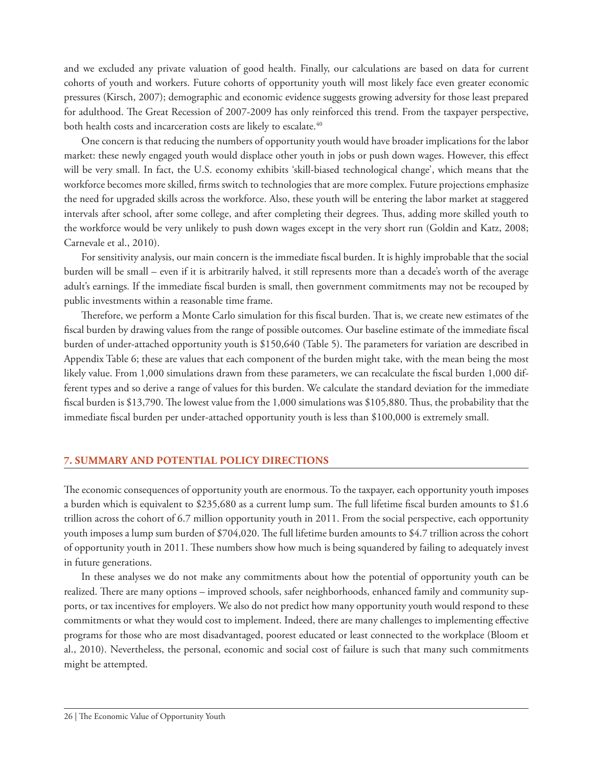and we excluded any private valuation of good health. Finally, our calculations are based on data for current cohorts of youth and workers. Future cohorts of opportunity youth will most likely face even greater economic pressures (Kirsch, 2007); demographic and economic evidence suggests growing adversity for those least prepared for adulthood. The Great Recession of 2007-2009 has only reinforced this trend. From the taxpayer perspective, both health costs and incarceration costs are likely to escalate.<sup>40</sup>

One concern is that reducing the numbers of opportunity youth would have broader implications for the labor market: these newly engaged youth would displace other youth in jobs or push down wages. However, this effect will be very small. In fact, the U.S. economy exhibits 'skill-biased technological change', which means that the workforce becomes more skilled, firms switch to technologies that are more complex. Future projections emphasize the need for upgraded skills across the workforce. Also, these youth will be entering the labor market at staggered intervals after school, after some college, and after completing their degrees. Thus, adding more skilled youth to the workforce would be very unlikely to push down wages except in the very short run (Goldin and Katz, 2008; Carnevale et al., 2010).

For sensitivity analysis, our main concern is the immediate fiscal burden. It is highly improbable that the social burden will be small – even if it is arbitrarily halved, it still represents more than a decade's worth of the average adult's earnings. If the immediate fiscal burden is small, then government commitments may not be recouped by public investments within a reasonable time frame.

Therefore, we perform a Monte Carlo simulation for this fiscal burden. That is, we create new estimates of the fiscal burden by drawing values from the range of possible outcomes. Our baseline estimate of the immediate fiscal burden of under-attached opportunity youth is \$150,640 (Table 5). The parameters for variation are described in Appendix Table 6; these are values that each component of the burden might take, with the mean being the most likely value. From 1,000 simulations drawn from these parameters, we can recalculate the fiscal burden 1,000 different types and so derive a range of values for this burden. We calculate the standard deviation for the immediate fiscal burden is \$13,790. The lowest value from the 1,000 simulations was \$105,880. Thus, the probability that the immediate fiscal burden per under-attached opportunity youth is less than \$100,000 is extremely small.

#### **7. Summary and Potential Policy Directions**

The economic consequences of opportunity youth are enormous. To the taxpayer, each opportunity youth imposes a burden which is equivalent to \$235,680 as a current lump sum. The full lifetime fiscal burden amounts to \$1.6 trillion across the cohort of 6.7 million opportunity youth in 2011. From the social perspective, each opportunity youth imposes a lump sum burden of \$704,020. The full lifetime burden amounts to \$4.7 trillion across the cohort of opportunity youth in 2011. These numbers show how much is being squandered by failing to adequately invest in future generations.

In these analyses we do not make any commitments about how the potential of opportunity youth can be realized. There are many options – improved schools, safer neighborhoods, enhanced family and community supports, or tax incentives for employers. We also do not predict how many opportunity youth would respond to these commitments or what they would cost to implement. Indeed, there are many challenges to implementing effective programs for those who are most disadvantaged, poorest educated or least connected to the workplace (Bloom et al., 2010). Nevertheless, the personal, economic and social cost of failure is such that many such commitments might be attempted.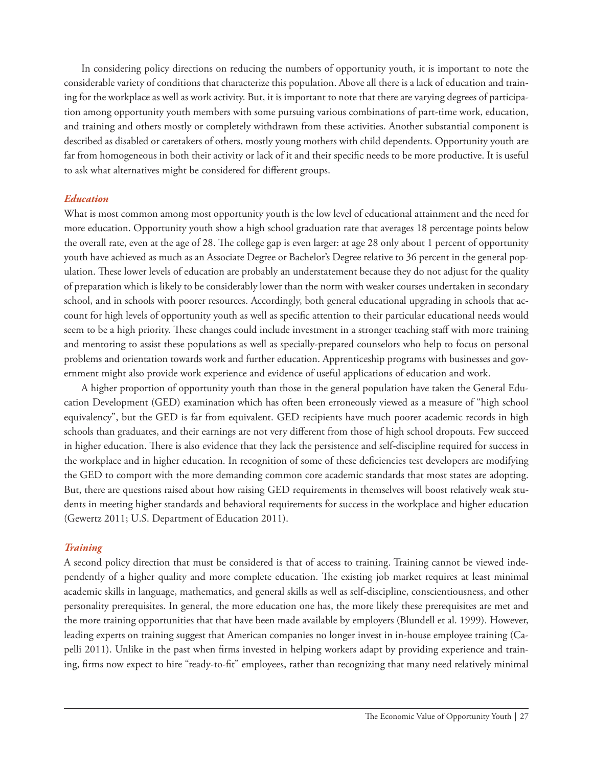In considering policy directions on reducing the numbers of opportunity youth, it is important to note the considerable variety of conditions that characterize this population. Above all there is a lack of education and training for the workplace as well as work activity. But, it is important to note that there are varying degrees of participation among opportunity youth members with some pursuing various combinations of part-time work, education, and training and others mostly or completely withdrawn from these activities. Another substantial component is described as disabled or caretakers of others, mostly young mothers with child dependents. Opportunity youth are far from homogeneous in both their activity or lack of it and their specific needs to be more productive. It is useful to ask what alternatives might be considered for different groups.

#### *Education*

What is most common among most opportunity youth is the low level of educational attainment and the need for more education. Opportunity youth show a high school graduation rate that averages 18 percentage points below the overall rate, even at the age of 28. The college gap is even larger: at age 28 only about 1 percent of opportunity youth have achieved as much as an Associate Degree or Bachelor's Degree relative to 36 percent in the general population. These lower levels of education are probably an understatement because they do not adjust for the quality of preparation which is likely to be considerably lower than the norm with weaker courses undertaken in secondary school, and in schools with poorer resources. Accordingly, both general educational upgrading in schools that account for high levels of opportunity youth as well as specific attention to their particular educational needs would seem to be a high priority. These changes could include investment in a stronger teaching staff with more training and mentoring to assist these populations as well as specially-prepared counselors who help to focus on personal problems and orientation towards work and further education. Apprenticeship programs with businesses and government might also provide work experience and evidence of useful applications of education and work.

A higher proportion of opportunity youth than those in the general population have taken the General Education Development (GED) examination which has often been erroneously viewed as a measure of "high school equivalency", but the GED is far from equivalent. GED recipients have much poorer academic records in high schools than graduates, and their earnings are not very different from those of high school dropouts. Few succeed in higher education. There is also evidence that they lack the persistence and self-discipline required for success in the workplace and in higher education. In recognition of some of these deficiencies test developers are modifying the GED to comport with the more demanding common core academic standards that most states are adopting. But, there are questions raised about how raising GED requirements in themselves will boost relatively weak students in meeting higher standards and behavioral requirements for success in the workplace and higher education (Gewertz 2011; U.S. Department of Education 2011).

#### *Training*

A second policy direction that must be considered is that of access to training. Training cannot be viewed independently of a higher quality and more complete education. The existing job market requires at least minimal academic skills in language, mathematics, and general skills as well as self-discipline, conscientiousness, and other personality prerequisites. In general, the more education one has, the more likely these prerequisites are met and the more training opportunities that that have been made available by employers (Blundell et al. 1999). However, leading experts on training suggest that American companies no longer invest in in-house employee training (Capelli 2011). Unlike in the past when firms invested in helping workers adapt by providing experience and training, firms now expect to hire "ready-to-fit" employees, rather than recognizing that many need relatively minimal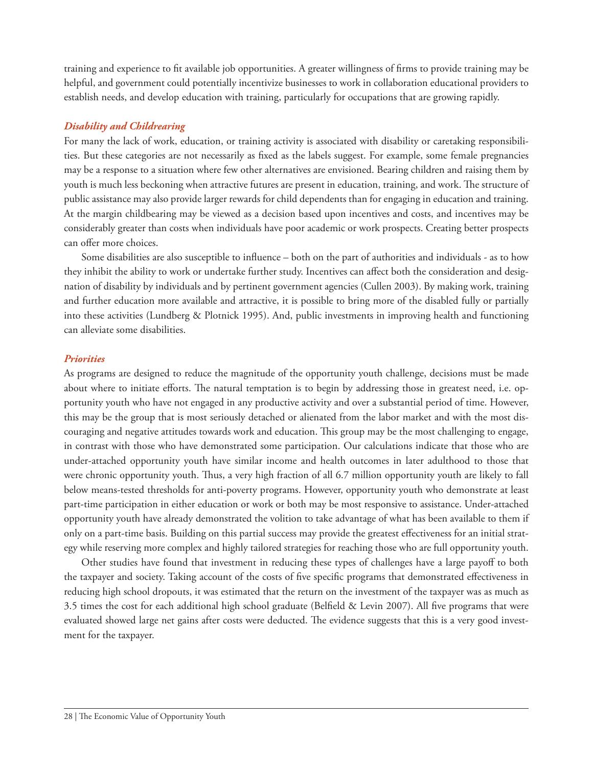training and experience to fit available job opportunities. A greater willingness of firms to provide training may be helpful, and government could potentially incentivize businesses to work in collaboration educational providers to establish needs, and develop education with training, particularly for occupations that are growing rapidly.

#### *Disability and Childrearing*

For many the lack of work, education, or training activity is associated with disability or caretaking responsibilities. But these categories are not necessarily as fixed as the labels suggest. For example, some female pregnancies may be a response to a situation where few other alternatives are envisioned. Bearing children and raising them by youth is much less beckoning when attractive futures are present in education, training, and work. The structure of public assistance may also provide larger rewards for child dependents than for engaging in education and training. At the margin childbearing may be viewed as a decision based upon incentives and costs, and incentives may be considerably greater than costs when individuals have poor academic or work prospects. Creating better prospects can offer more choices.

Some disabilities are also susceptible to influence – both on the part of authorities and individuals - as to how they inhibit the ability to work or undertake further study. Incentives can affect both the consideration and designation of disability by individuals and by pertinent government agencies (Cullen 2003). By making work, training and further education more available and attractive, it is possible to bring more of the disabled fully or partially into these activities (Lundberg & Plotnick 1995). And, public investments in improving health and functioning can alleviate some disabilities.

#### *Priorities*

As programs are designed to reduce the magnitude of the opportunity youth challenge, decisions must be made about where to initiate efforts. The natural temptation is to begin by addressing those in greatest need, i.e. opportunity youth who have not engaged in any productive activity and over a substantial period of time. However, this may be the group that is most seriously detached or alienated from the labor market and with the most discouraging and negative attitudes towards work and education. This group may be the most challenging to engage, in contrast with those who have demonstrated some participation. Our calculations indicate that those who are under-attached opportunity youth have similar income and health outcomes in later adulthood to those that were chronic opportunity youth. Thus, a very high fraction of all 6.7 million opportunity youth are likely to fall below means-tested thresholds for anti-poverty programs. However, opportunity youth who demonstrate at least part-time participation in either education or work or both may be most responsive to assistance. Under-attached opportunity youth have already demonstrated the volition to take advantage of what has been available to them if only on a part-time basis. Building on this partial success may provide the greatest effectiveness for an initial strategy while reserving more complex and highly tailored strategies for reaching those who are full opportunity youth.

Other studies have found that investment in reducing these types of challenges have a large payoff to both the taxpayer and society. Taking account of the costs of five specific programs that demonstrated effectiveness in reducing high school dropouts, it was estimated that the return on the investment of the taxpayer was as much as 3.5 times the cost for each additional high school graduate (Belfield & Levin 2007). All five programs that were evaluated showed large net gains after costs were deducted. The evidence suggests that this is a very good investment for the taxpayer.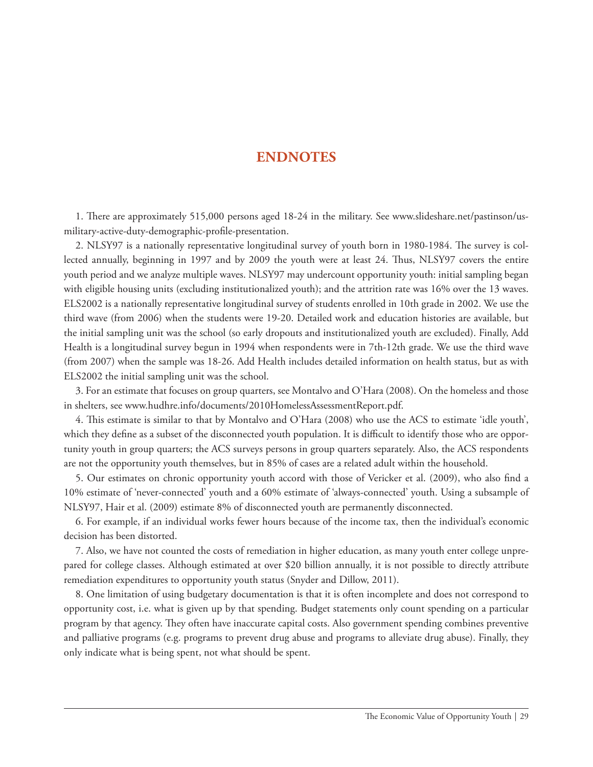# **ENDNOTES**

1. There are approximately 515,000 persons aged 18-24 in the military. See www.slideshare.net/pastinson/usmilitary-active-duty-demographic-profile-presentation.

2. NLSY97 is a nationally representative longitudinal survey of youth born in 1980-1984. The survey is collected annually, beginning in 1997 and by 2009 the youth were at least 24. Thus, NLSY97 covers the entire youth period and we analyze multiple waves. NLSY97 may undercount opportunity youth: initial sampling began with eligible housing units (excluding institutionalized youth); and the attrition rate was 16% over the 13 waves. ELS2002 is a nationally representative longitudinal survey of students enrolled in 10th grade in 2002. We use the third wave (from 2006) when the students were 19-20. Detailed work and education histories are available, but the initial sampling unit was the school (so early dropouts and institutionalized youth are excluded). Finally, Add Health is a longitudinal survey begun in 1994 when respondents were in 7th-12th grade. We use the third wave (from 2007) when the sample was 18-26. Add Health includes detailed information on health status, but as with ELS2002 the initial sampling unit was the school.

3. For an estimate that focuses on group quarters, see Montalvo and O'Hara (2008). On the homeless and those in shelters, see www.hudhre.info/documents/2010HomelessAssessmentReport.pdf.

4. This estimate is similar to that by Montalvo and O'Hara (2008) who use the ACS to estimate 'idle youth', which they define as a subset of the disconnected youth population. It is difficult to identify those who are opportunity youth in group quarters; the ACS surveys persons in group quarters separately. Also, the ACS respondents are not the opportunity youth themselves, but in 85% of cases are a related adult within the household.

5. Our estimates on chronic opportunity youth accord with those of Vericker et al. (2009), who also find a 10% estimate of 'never-connected' youth and a 60% estimate of 'always-connected' youth. Using a subsample of NLSY97, Hair et al. (2009) estimate 8% of disconnected youth are permanently disconnected.

6. For example, if an individual works fewer hours because of the income tax, then the individual's economic decision has been distorted.

7. Also, we have not counted the costs of remediation in higher education, as many youth enter college unprepared for college classes. Although estimated at over \$20 billion annually, it is not possible to directly attribute remediation expenditures to opportunity youth status (Snyder and Dillow, 2011).

8. One limitation of using budgetary documentation is that it is often incomplete and does not correspond to opportunity cost, i.e. what is given up by that spending. Budget statements only count spending on a particular program by that agency. They often have inaccurate capital costs. Also government spending combines preventive and palliative programs (e.g. programs to prevent drug abuse and programs to alleviate drug abuse). Finally, they only indicate what is being spent, not what should be spent.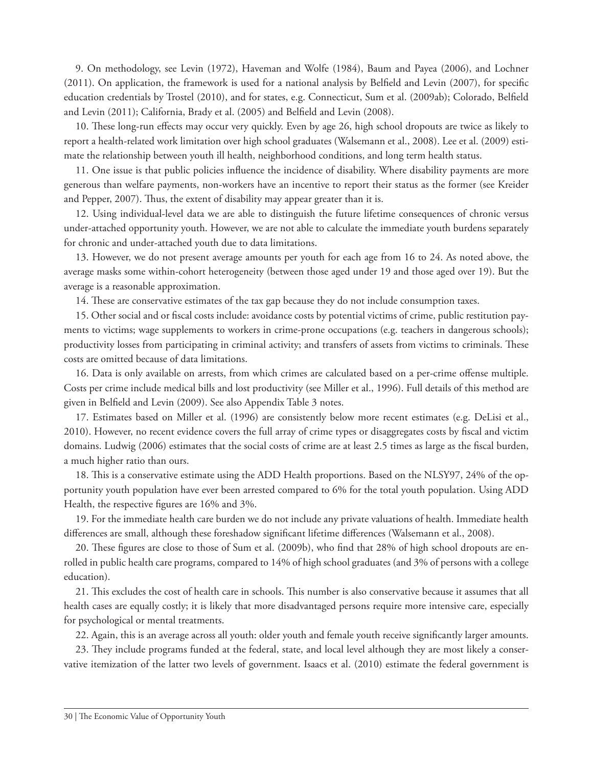9. On methodology, see Levin (1972), Haveman and Wolfe (1984), Baum and Payea (2006), and Lochner (2011). On application, the framework is used for a national analysis by Belfield and Levin (2007), for specific education credentials by Trostel (2010), and for states, e.g. Connecticut, Sum et al. (2009ab); Colorado, Belfield and Levin (2011); California, Brady et al. (2005) and Belfield and Levin (2008).

10. These long-run effects may occur very quickly. Even by age 26, high school dropouts are twice as likely to report a health-related work limitation over high school graduates (Walsemann et al., 2008). Lee et al. (2009) estimate the relationship between youth ill health, neighborhood conditions, and long term health status.

11. One issue is that public policies influence the incidence of disability. Where disability payments are more generous than welfare payments, non-workers have an incentive to report their status as the former (see Kreider and Pepper, 2007). Thus, the extent of disability may appear greater than it is.

12. Using individual-level data we are able to distinguish the future lifetime consequences of chronic versus under-attached opportunity youth. However, we are not able to calculate the immediate youth burdens separately for chronic and under-attached youth due to data limitations.

13. However, we do not present average amounts per youth for each age from 16 to 24. As noted above, the average masks some within-cohort heterogeneity (between those aged under 19 and those aged over 19). But the average is a reasonable approximation.

14. These are conservative estimates of the tax gap because they do not include consumption taxes.

15. Other social and or fiscal costs include: avoidance costs by potential victims of crime, public restitution payments to victims; wage supplements to workers in crime-prone occupations (e.g. teachers in dangerous schools); productivity losses from participating in criminal activity; and transfers of assets from victims to criminals. These costs are omitted because of data limitations.

16. Data is only available on arrests, from which crimes are calculated based on a per-crime offense multiple. Costs per crime include medical bills and lost productivity (see Miller et al., 1996). Full details of this method are given in Belfield and Levin (2009). See also Appendix Table 3 notes.

17. Estimates based on Miller et al. (1996) are consistently below more recent estimates (e.g. DeLisi et al., 2010). However, no recent evidence covers the full array of crime types or disaggregates costs by fiscal and victim domains. Ludwig (2006) estimates that the social costs of crime are at least 2.5 times as large as the fiscal burden, a much higher ratio than ours.

18. This is a conservative estimate using the ADD Health proportions. Based on the NLSY97, 24% of the opportunity youth population have ever been arrested compared to 6% for the total youth population. Using ADD Health, the respective figures are 16% and 3%.

19. For the immediate health care burden we do not include any private valuations of health. Immediate health differences are small, although these foreshadow significant lifetime differences (Walsemann et al., 2008).

20. These figures are close to those of Sum et al. (2009b), who find that 28% of high school dropouts are enrolled in public health care programs, compared to 14% of high school graduates (and 3% of persons with a college education).

21. This excludes the cost of health care in schools. This number is also conservative because it assumes that all health cases are equally costly; it is likely that more disadvantaged persons require more intensive care, especially for psychological or mental treatments.

22. Again, this is an average across all youth: older youth and female youth receive significantly larger amounts.

23. They include programs funded at the federal, state, and local level although they are most likely a conservative itemization of the latter two levels of government. Isaacs et al. (2010) estimate the federal government is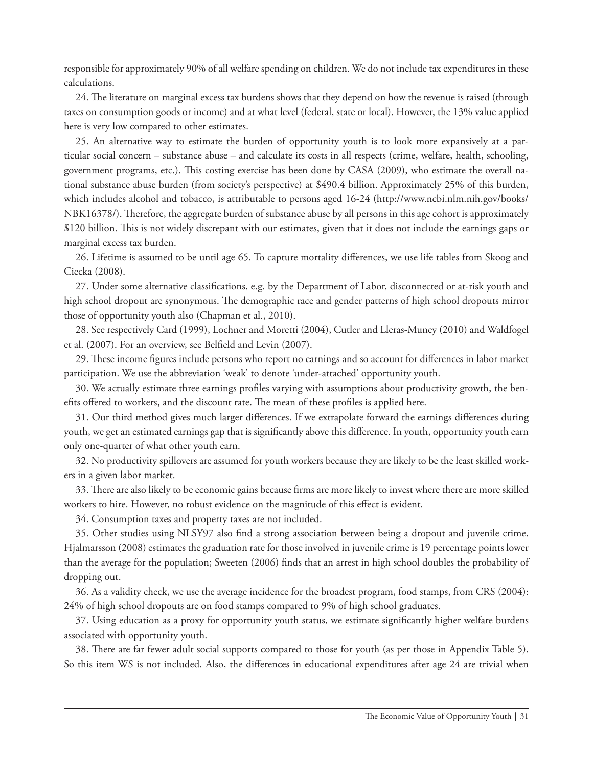responsible for approximately 90% of all welfare spending on children. We do not include tax expenditures in these calculations.

24. The literature on marginal excess tax burdens shows that they depend on how the revenue is raised (through taxes on consumption goods or income) and at what level (federal, state or local). However, the 13% value applied here is very low compared to other estimates.

25. An alternative way to estimate the burden of opportunity youth is to look more expansively at a particular social concern – substance abuse – and calculate its costs in all respects (crime, welfare, health, schooling, government programs, etc.). This costing exercise has been done by CASA (2009), who estimate the overall national substance abuse burden (from society's perspective) at \$490.4 billion. Approximately 25% of this burden, which includes alcohol and tobacco, is attributable to persons aged 16-24 (http://www.ncbi.nlm.nih.gov/books/ NBK16378/). Therefore, the aggregate burden of substance abuse by all persons in this age cohort is approximately \$120 billion. This is not widely discrepant with our estimates, given that it does not include the earnings gaps or marginal excess tax burden.

26. Lifetime is assumed to be until age 65. To capture mortality differences, we use life tables from Skoog and Ciecka (2008).

27. Under some alternative classifications, e.g. by the Department of Labor, disconnected or at-risk youth and high school dropout are synonymous. The demographic race and gender patterns of high school dropouts mirror those of opportunity youth also (Chapman et al., 2010).

28. See respectively Card (1999), Lochner and Moretti (2004), Cutler and Lleras-Muney (2010) and Waldfogel et al. (2007). For an overview, see Belfield and Levin (2007).

29. These income figures include persons who report no earnings and so account for differences in labor market participation. We use the abbreviation 'weak' to denote 'under-attached' opportunity youth.

30. We actually estimate three earnings profiles varying with assumptions about productivity growth, the benefits offered to workers, and the discount rate. The mean of these profiles is applied here.

31. Our third method gives much larger differences. If we extrapolate forward the earnings differences during youth, we get an estimated earnings gap that is significantly above this difference. In youth, opportunity youth earn only one-quarter of what other youth earn.

32. No productivity spillovers are assumed for youth workers because they are likely to be the least skilled workers in a given labor market.

33. There are also likely to be economic gains because firms are more likely to invest where there are more skilled workers to hire. However, no robust evidence on the magnitude of this effect is evident.

34. Consumption taxes and property taxes are not included.

35. Other studies using NLSY97 also find a strong association between being a dropout and juvenile crime. Hjalmarsson (2008) estimates the graduation rate for those involved in juvenile crime is 19 percentage points lower than the average for the population; Sweeten (2006) finds that an arrest in high school doubles the probability of dropping out.

36. As a validity check, we use the average incidence for the broadest program, food stamps, from CRS (2004): 24% of high school dropouts are on food stamps compared to 9% of high school graduates.

37. Using education as a proxy for opportunity youth status, we estimate significantly higher welfare burdens associated with opportunity youth.

38. There are far fewer adult social supports compared to those for youth (as per those in Appendix Table 5). So this item WS is not included. Also, the differences in educational expenditures after age 24 are trivial when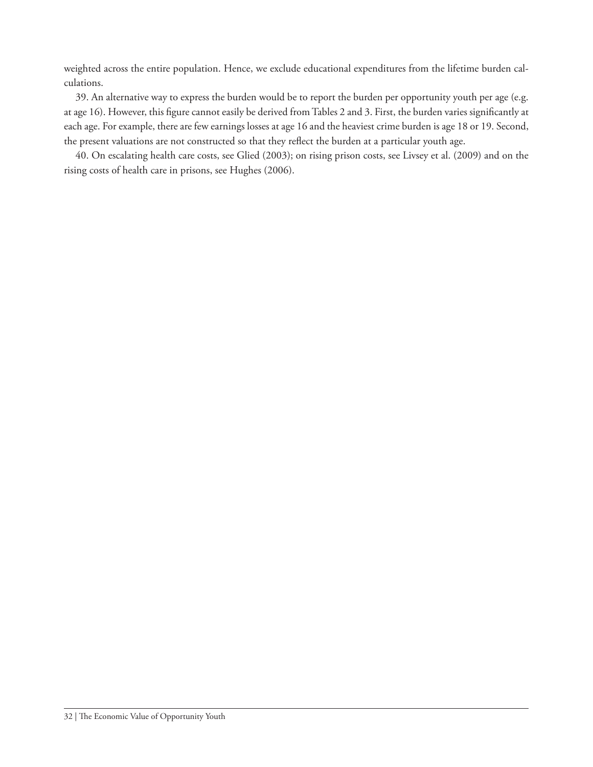weighted across the entire population. Hence, we exclude educational expenditures from the lifetime burden calculations.

39. An alternative way to express the burden would be to report the burden per opportunity youth per age (e.g. at age 16). However, this figure cannot easily be derived from Tables 2 and 3. First, the burden varies significantly at each age. For example, there are few earnings losses at age 16 and the heaviest crime burden is age 18 or 19. Second, the present valuations are not constructed so that they reflect the burden at a particular youth age.

40. On escalating health care costs, see Glied (2003); on rising prison costs, see Livsey et al. (2009) and on the rising costs of health care in prisons, see Hughes (2006).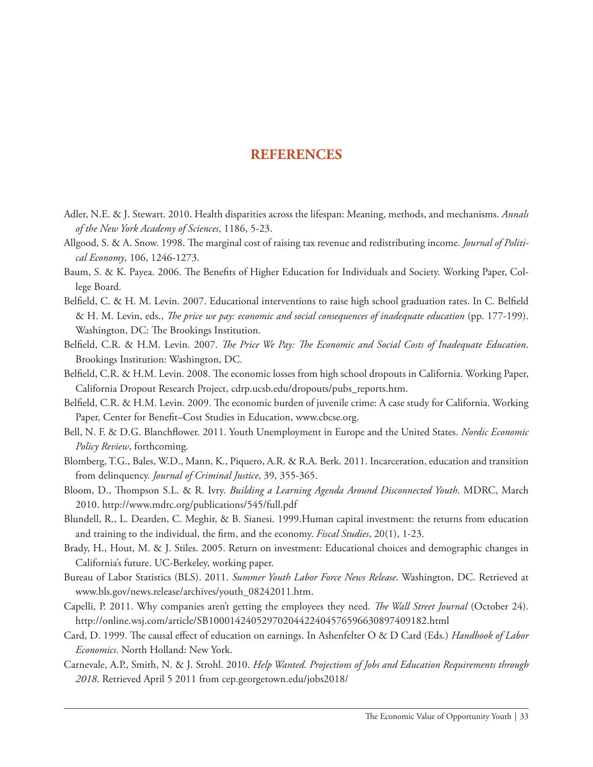### **References**

- Adler, N.E. & J. Stewart. 2010. Health disparities across the lifespan: Meaning, methods, and mechanisms. *Annals of the New York Academy of Sciences*, 1186, 5-23.
- Allgood, S. & A. Snow. 1998. The marginal cost of raising tax revenue and redistributing income. *Journal of Political Economy*, 106, 1246-1273.
- Baum, S. & K. Payea. 2006. The Benefits of Higher Education for Individuals and Society. Working Paper, College Board.
- Belfield, C. & H. M. Levin. 2007. Educational interventions to raise high school graduation rates. In C. Belfield & H. M. Levin, eds., *The price we pay: economic and social consequences of inadequate education* (pp. 177-199). Washington, DC: The Brookings Institution.
- Belfield, C.R. & H.M. Levin. 2007. *The Price We Pay: The Economic and Social Costs of Inadequate Education*. Brookings Institution: Washington, DC.
- Belfield, C.R. & H.M. Levin. 2008. The economic losses from high school dropouts in California. Working Paper, California Dropout Research Project, cdrp.ucsb.edu/dropouts/pubs\_reports.htm.
- Belfield, C.R. & H.M. Levin. 2009. The economic burden of juvenile crime: A case study for California. Working Paper, Center for Benefit–Cost Studies in Education, www.cbcse.org.
- Bell, N. F. & D.G. Blanchflower. 2011. Youth Unemployment in Europe and the United States. *Nordic Economic Policy Review*, forthcoming.
- Blomberg, T.G., Bales, W.D., Mann, K., Piquero, A.R. & R.A. Berk. 2011. Incarceration, education and transition from delinquency. *Journal of Criminal Justice*, 39, 355-365.
- Bloom, D., Thompson S.L. & R. Ivry. *Building a Learning Agenda Around Disconnected Youth*. MDRC, March 2010. http://www.mdrc.org/publications/545/full.pdf
- Blundell, R., L. Dearden, C. Meghir, & B. Sianesi. 1999.Human capital investment: the returns from education and training to the individual, the firm, and the economy. *Fiscal Studies*, 20(1), 1-23.
- Brady, H., Hout, M. & J. Stiles. 2005. Return on investment: Educational choices and demographic changes in California's future. UC-Berkeley, working paper.
- Bureau of Labor Statistics (BLS). 2011. *Summer Youth Labor Force News Release*. Washington, DC. Retrieved at www.bls.gov/news.release/archives/youth\_08242011.htm.
- Capelli, P. 2011. Why companies aren't getting the employees they need. *The Wall Street Journal* (October 24). http://online.wsj.com/article/SB10001424052970204422404576596630897409182.html
- Card, D. 1999. The causal effect of education on earnings. In Ashenfelter O & D Card (Eds.) *Handbook of Labor Economics*. North Holland: New York.
- Carnevale, A.P., Smith, N. & J. Strohl. 2010. *Help Wanted. Projections of Jobs and Education Requirements through 2018*. Retrieved April 5 2011 from cep.georgetown.edu/jobs2018/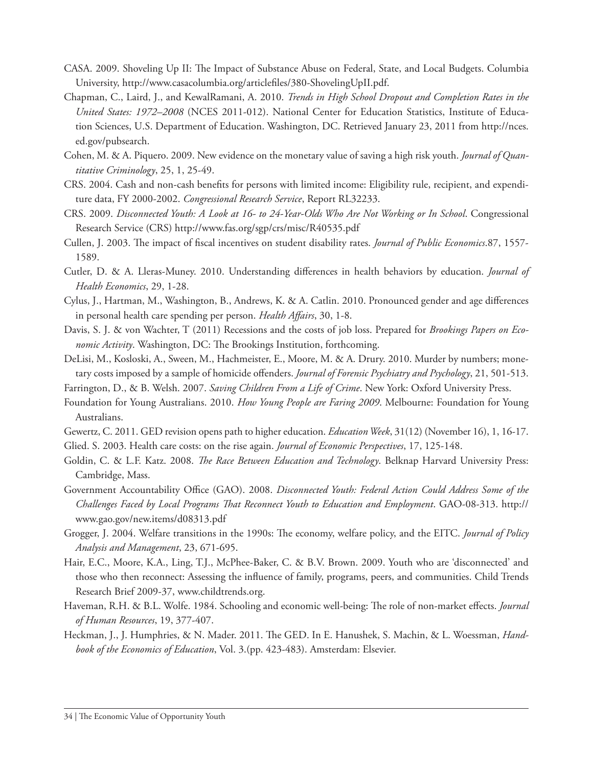- CASA. 2009. Shoveling Up II: The Impact of Substance Abuse on Federal, State, and Local Budgets. Columbia University, http://www.casacolumbia.org/articlefiles/380-ShovelingUpII.pdf.
- Chapman, C., Laird, J., and KewalRamani, A. 2010. *Trends in High School Dropout and Completion Rates in the United States: 1972–2008* (NCES 2011-012). National Center for Education Statistics, Institute of Education Sciences, U.S. Department of Education. Washington, DC. Retrieved January 23, 2011 from http://nces. ed.gov/pubsearch.
- Cohen, M. & A. Piquero. 2009. New evidence on the monetary value of saving a high risk youth. *Journal of Quantitative Criminology*, 25, 1, 25-49.
- CRS. 2004. Cash and non-cash benefits for persons with limited income: Eligibility rule, recipient, and expenditure data, FY 2000-2002. *Congressional Research Service*, Report RL32233.
- CRS. 2009. *Disconnected Youth: A Look at 16- to 24-Year-Olds Who Are Not Working or In School*. Congressional Research Service (CRS) http://www.fas.org/sgp/crs/misc/R40535.pdf
- Cullen, J. 2003. The impact of fiscal incentives on student disability rates. *Journal of Public Economics*.87, 1557- 1589.
- Cutler, D. & A. Lleras-Muney. 2010. Understanding differences in health behaviors by education. *Journal of Health Economics*, 29, 1-28.
- Cylus, J., Hartman, M., Washington, B., Andrews, K. & A. Catlin. 2010. Pronounced gender and age differences in personal health care spending per person. *Health Affairs*, 30, 1-8.
- Davis, S. J. & von Wachter, T (2011) Recessions and the costs of job loss. Prepared for *Brookings Papers on Economic Activity*. Washington, DC: The Brookings Institution, forthcoming.
- DeLisi, M., Kosloski, A., Sween, M., Hachmeister, E., Moore, M. & A. Drury. 2010. Murder by numbers; monetary costs imposed by a sample of homicide offenders. *Journal of Forensic Psychiatry and Psychology*, 21, 501-513.
- Farrington, D., & B. Welsh. 2007. *Saving Children From a Life of Crime*. New York: Oxford University Press.
- Foundation for Young Australians. 2010. *How Young People are Faring 2009*. Melbourne: Foundation for Young Australians.
- Gewertz, C. 2011. GED revision opens path to higher education. *Education Week*, 31(12) (November 16), 1, 16-17.
- Glied. S. 2003. Health care costs: on the rise again. *Journal of Economic Perspectives*, 17, 125-148.
- Goldin, C. & L.F. Katz. 2008. *The Race Between Education and Technology*. Belknap Harvard University Press: Cambridge, Mass.
- Government Accountability Office (GAO). 2008. *Disconnected Youth: Federal Action Could Address Some of the Challenges Faced by Local Programs That Reconnect Youth to Education and Employment*. GAO-08-313. http:// www.gao.gov/new.items/d08313.pdf
- Grogger, J. 2004. Welfare transitions in the 1990s: The economy, welfare policy, and the EITC. *Journal of Policy Analysis and Management*, 23, 671-695.
- Hair, E.C., Moore, K.A., Ling, T.J., McPhee-Baker, C. & B.V. Brown. 2009. Youth who are 'disconnected' and those who then reconnect: Assessing the influence of family, programs, peers, and communities. Child Trends Research Brief 2009-37, www.childtrends.org.
- Haveman, R.H. & B.L. Wolfe. 1984. Schooling and economic well-being: The role of non-market effects. *Journal of Human Resources*, 19, 377-407.
- Heckman, J., J. Humphries, & N. Mader. 2011. The GED. In E. Hanushek, S. Machin, & L. Woessman, *Handbook of the Economics of Education*, Vol. 3.(pp. 423-483). Amsterdam: Elsevier.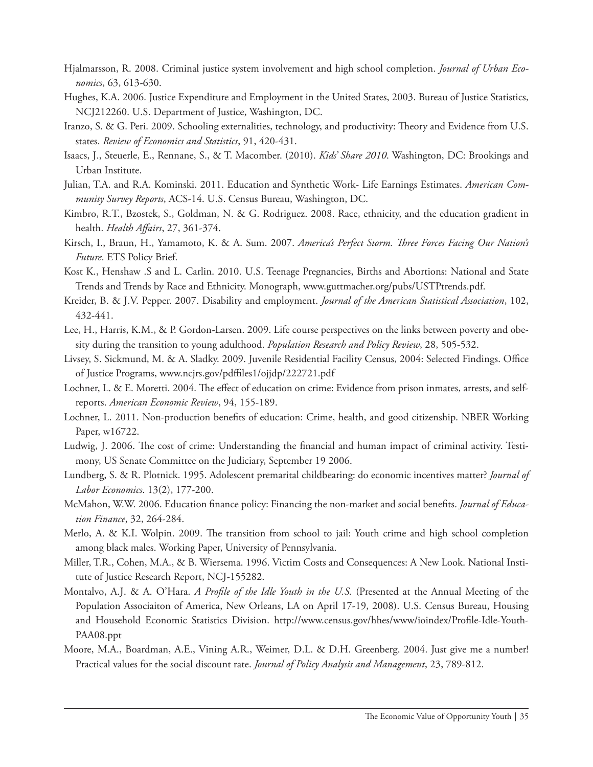- Hjalmarsson, R. 2008. Criminal justice system involvement and high school completion. *Journal of Urban Economics*, 63, 613-630.
- Hughes, K.A. 2006. Justice Expenditure and Employment in the United States, 2003. Bureau of Justice Statistics, NCJ212260. U.S. Department of Justice, Washington, DC.
- Iranzo, S. & G. Peri. 2009. Schooling externalities, technology, and productivity: Theory and Evidence from U.S. states. *Review of Economics and Statistics*, 91, 420-431.
- Isaacs, J., Steuerle, E., Rennane, S., & T. Macomber. (2010). *Kids' Share 2010*. Washington, DC: Brookings and Urban Institute.
- Julian, T.A. and R.A. Kominski. 2011. Education and Synthetic Work- Life Earnings Estimates. *American Community Survey Reports*, ACS-14. U.S. Census Bureau, Washington, DC.
- Kimbro, R.T., Bzostek, S., Goldman, N. & G. Rodriguez. 2008. Race, ethnicity, and the education gradient in health. *Health Affairs*, 27, 361-374.
- Kirsch, I., Braun, H., Yamamoto, K. & A. Sum. 2007. *America's Perfect Storm. Three Forces Facing Our Nation's Future*. ETS Policy Brief.
- Kost K., Henshaw .S and L. Carlin. 2010. U.S. Teenage Pregnancies, Births and Abortions: National and State Trends and Trends by Race and Ethnicity. Monograph, www.guttmacher.org/pubs/USTPtrends.pdf.
- Kreider, B. & J.V. Pepper. 2007. Disability and employment. *Journal of the American Statistical Association*, 102, 432-441.
- Lee, H., Harris, K.M., & P. Gordon-Larsen. 2009. Life course perspectives on the links between poverty and obesity during the transition to young adulthood. *Population Research and Policy Review*, 28, 505-532.
- Livsey, S. Sickmund, M. & A. Sladky. 2009. Juvenile Residential Facility Census, 2004: Selected Findings. Office of Justice Programs, www.ncjrs.gov/pdffiles1/ojjdp/222721.pdf
- Lochner, L. & E. Moretti. 2004. The effect of education on crime: Evidence from prison inmates, arrests, and selfreports. *American Economic Review*, 94, 155-189.
- Lochner, L. 2011. Non-production benefits of education: Crime, health, and good citizenship. NBER Working Paper, w16722.
- Ludwig, J. 2006. The cost of crime: Understanding the financial and human impact of criminal activity. Testimony, US Senate Committee on the Judiciary, September 19 2006.
- Lundberg, S. & R. Plotnick. 1995. Adolescent premarital childbearing: do economic incentives matter? *Journal of Labor Economics*. 13(2), 177-200.
- McMahon, W.W. 2006. Education finance policy: Financing the non-market and social benefits. *Journal of Education Finance*, 32, 264-284.
- Merlo, A. & K.I. Wolpin. 2009. The transition from school to jail: Youth crime and high school completion among black males. Working Paper, University of Pennsylvania.
- Miller, T.R., Cohen, M.A., & B. Wiersema. 1996. Victim Costs and Consequences: A New Look. National Institute of Justice Research Report, NCJ-155282.
- Montalvo, A.J. & A. O'Hara. *A Profile of the Idle Youth in the U.S.* (Presented at the Annual Meeting of the Population Associaiton of America, New Orleans, LA on April 17-19, 2008). U.S. Census Bureau, Housing and Household Economic Statistics Division. http://www.census.gov/hhes/www/ioindex/Profile-Idle-Youth-PAA08.ppt
- Moore, M.A., Boardman, A.E., Vining A.R., Weimer, D.L. & D.H. Greenberg. 2004. Just give me a number! Practical values for the social discount rate. *Journal of Policy Analysis and Management*, 23, 789-812.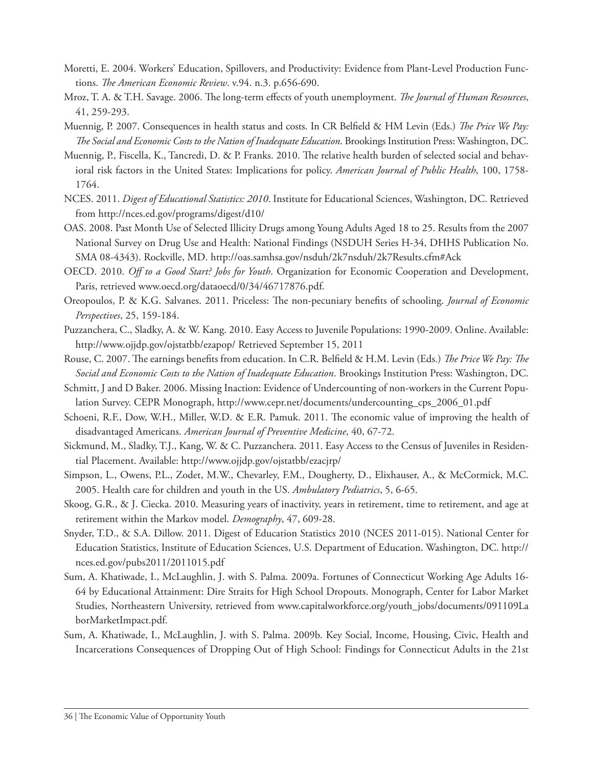- Moretti, E. 2004. Workers' Education, Spillovers, and Productivity: Evidence from Plant-Level Production Functions. *The American Economic Review*. v.94. n.3. p.656-690.
- Mroz, T. A. & T.H. Savage. 2006. The long-term effects of youth unemployment. *The Journal of Human Resources*, 41, 259-293.
- Muennig, P. 2007. Consequences in health status and costs. In CR Belfield & HM Levin (Eds.) *The Price We Pay: The Social and Economic Costs to the Nation of Inadequate Education*. Brookings Institution Press: Washington, DC.
- Muennig, P., Fiscella, K., Tancredi, D. & P. Franks. 2010. The relative health burden of selected social and behavioral risk factors in the United States: Implications for policy. *American Journal of Public Health*, 100, 1758- 1764.
- NCES. 2011. *Digest of Educational Statistics: 2010*. Institute for Educational Sciences, Washington, DC. Retrieved from http://nces.ed.gov/programs/digest/d10/
- OAS. 2008. Past Month Use of Selected Illicity Drugs among Young Adults Aged 18 to 25. Results from the 2007 National Survey on Drug Use and Health: National Findings (NSDUH Series H-34, DHHS Publication No. SMA 08-4343). Rockville, MD. http://oas.samhsa.gov/nsduh/2k7nsduh/2k7Results.cfm#Ack
- OECD. 2010. *Off to a Good Start? Jobs for Youth*. Organization for Economic Cooperation and Development, Paris, retrieved www.oecd.org/dataoecd/0/34/46717876.pdf.
- Oreopoulos, P. & K.G. Salvanes. 2011. Priceless: The non-pecuniary benefits of schooling. *Journal of Economic Perspectives*, 25, 159-184.
- Puzzanchera, C., Sladky, A. & W. Kang. 2010. Easy Access to Juvenile Populations: 1990-2009. Online. Available: http://www.ojjdp.gov/ojstatbb/ezapop/ Retrieved September 15, 2011
- Rouse, C. 2007. The earnings benefits from education. In C.R. Belfield & H.M. Levin (Eds.) *The Price We Pay: The Social and Economic Costs to the Nation of Inadequate Education*. Brookings Institution Press: Washington, DC.
- Schmitt, J and D Baker. 2006. Missing Inaction: Evidence of Undercounting of non-workers in the Current Population Survey. CEPR Monograph, http://www.cepr.net/documents/undercounting\_cps\_2006\_01.pdf
- Schoeni, R.F., Dow, W.H., Miller, W.D. & E.R. Pamuk. 2011. The economic value of improving the health of disadvantaged Americans. *American Journal of Preventive Medicine*, 40, 67-72.
- Sickmund, M., Sladky, T.J., Kang, W. & C. Puzzanchera. 2011. Easy Access to the Census of Juveniles in Residential Placement. Available: http://www.ojjdp.gov/ojstatbb/ezacjrp/
- Simpson, L., Owens, P.L., Zodet, M.W., Chevarley, F.M., Dougherty, D., Elixhauser, A., & McCormick, M.C. 2005. Health care for children and youth in the US. *Ambulatory Pediatrics*, 5, 6-65.
- Skoog, G.R., & J. Ciecka. 2010. Measuring years of inactivity, years in retirement, time to retirement, and age at retirement within the Markov model. *Demography*, 47, 609-28.
- Snyder, T.D., & S.A. Dillow. 2011. Digest of Education Statistics 2010 (NCES 2011-015). National Center for Education Statistics, Institute of Education Sciences, U.S. Department of Education. Washington, DC. http:// nces.ed.gov/pubs2011/2011015.pdf
- Sum, A. Khatiwade, I., McLaughlin, J. with S. Palma. 2009a. Fortunes of Connecticut Working Age Adults 16- 64 by Educational Attainment: Dire Straits for High School Dropouts. Monograph, Center for Labor Market Studies, Northeastern University, retrieved from www.capitalworkforce.org/youth\_jobs/documents/091109La borMarketImpact.pdf.
- Sum, A. Khatiwade, I., McLaughlin, J. with S. Palma. 2009b. Key Social, Income, Housing, Civic, Health and Incarcerations Consequences of Dropping Out of High School: Findings for Connecticut Adults in the 21st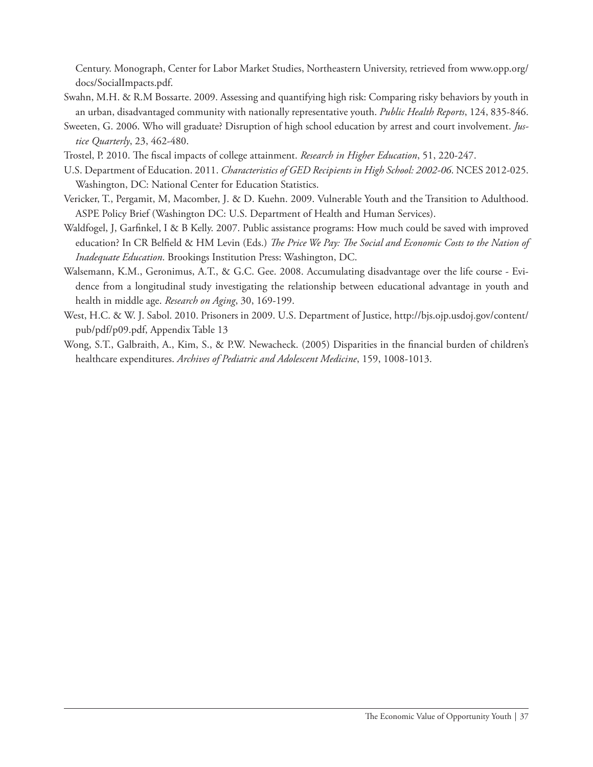Century. Monograph, Center for Labor Market Studies, Northeastern University, retrieved from www.opp.org/ docs/SocialImpacts.pdf.

- Swahn, M.H. & R.M Bossarte. 2009. Assessing and quantifying high risk: Comparing risky behaviors by youth in an urban, disadvantaged community with nationally representative youth. *Public Health Reports*, 124, 835-846.
- Sweeten, G. 2006. Who will graduate? Disruption of high school education by arrest and court involvement. *Justice Quarterly*, 23, 462-480.
- Trostel, P. 2010. The fiscal impacts of college attainment. *Research in Higher Education*, 51, 220-247.
- U.S. Department of Education. 2011. *Characteristics of GED Recipients in High School: 2002-06*. NCES 2012-025. Washington, DC: National Center for Education Statistics.
- Vericker, T., Pergamit, M, Macomber, J. & D. Kuehn. 2009. Vulnerable Youth and the Transition to Adulthood. ASPE Policy Brief (Washington DC: U.S. Department of Health and Human Services).
- Waldfogel, J, Garfinkel, I & B Kelly. 2007. Public assistance programs: How much could be saved with improved education? In CR Belfield & HM Levin (Eds.) *The Price We Pay: The Social and Economic Costs to the Nation of Inadequate Education*. Brookings Institution Press: Washington, DC.
- Walsemann, K.M., Geronimus, A.T., & G.C. Gee. 2008. Accumulating disadvantage over the life course Evidence from a longitudinal study investigating the relationship between educational advantage in youth and health in middle age. *Research on Aging*, 30, 169-199.
- West, H.C. & W. J. Sabol. 2010. Prisoners in 2009. U.S. Department of Justice, http://bjs.ojp.usdoj.gov/content/ pub/pdf/p09.pdf, Appendix Table 13
- Wong, S.T., Galbraith, A., Kim, S., & P.W. Newacheck. (2005) Disparities in the financial burden of children's healthcare expenditures. *Archives of Pediatric and Adolescent Medicine*, 159, 1008-1013.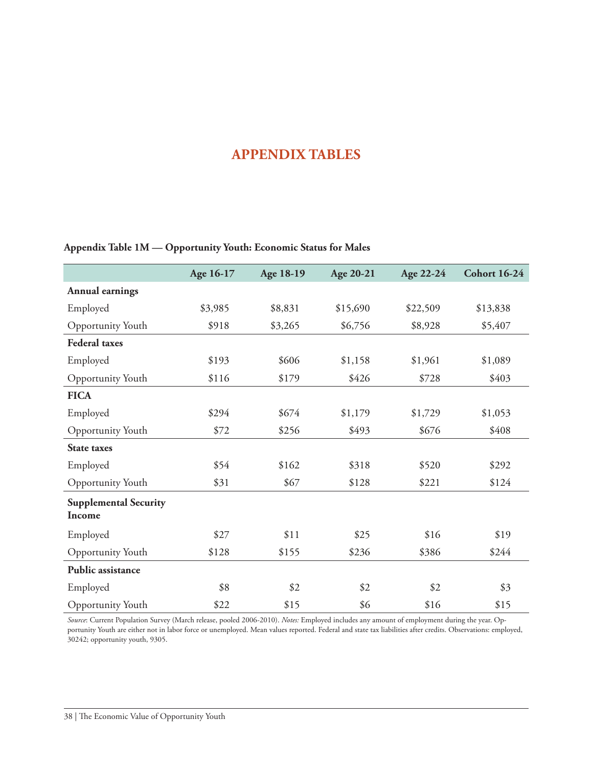# **appendix tables**

|                                        | Age 16-17 | Age 18-19 | Age 20-21 | Age 22-24 | <b>Cohort 16-24</b> |
|----------------------------------------|-----------|-----------|-----------|-----------|---------------------|
| Annual earnings                        |           |           |           |           |                     |
| Employed                               | \$3,985   | \$8,831   | \$15,690  | \$22,509  | \$13,838            |
| Opportunity Youth                      | \$918     | \$3,265   | \$6,756   | \$8,928   | \$5,407             |
| <b>Federal</b> taxes                   |           |           |           |           |                     |
| Employed                               | \$193     | \$606     | \$1,158   | \$1,961   | \$1,089             |
| Opportunity Youth                      | \$116     | \$179     | \$426     | \$728     | \$403               |
| <b>FICA</b>                            |           |           |           |           |                     |
| Employed                               | \$294     | \$674     | \$1,179   | \$1,729   | \$1,053             |
| Opportunity Youth                      | \$72      | \$256     | \$493     | \$676     | \$408               |
| <b>State taxes</b>                     |           |           |           |           |                     |
| Employed                               | \$54      | \$162     | \$318     | \$520     | \$292               |
| Opportunity Youth                      | \$31      | \$67      | \$128     | \$221     | \$124               |
| <b>Supplemental Security</b><br>Income |           |           |           |           |                     |
| Employed                               | \$27      | \$11      | \$25      | \$16      | \$19                |
| Opportunity Youth                      | \$128     | \$155     | \$236     | \$386     | \$244               |
| <b>Public assistance</b>               |           |           |           |           |                     |
| Employed                               | \$8       | \$2       | \$2       | \$2       | \$3                 |
| Opportunity Youth                      | \$22      | \$15      | \$6       | \$16      | \$15                |

#### **Appendix Table 1M — Opportunity Youth: Economic Status for Males**

*Source*: Current Population Survey (March release, pooled 2006-2010). *Notes:* Employed includes any amount of employment during the year. Opportunity Youth are either not in labor force or unemployed. Mean values reported. Federal and state tax liabilities after credits. Observations: employed, 30242; opportunity youth, 9305.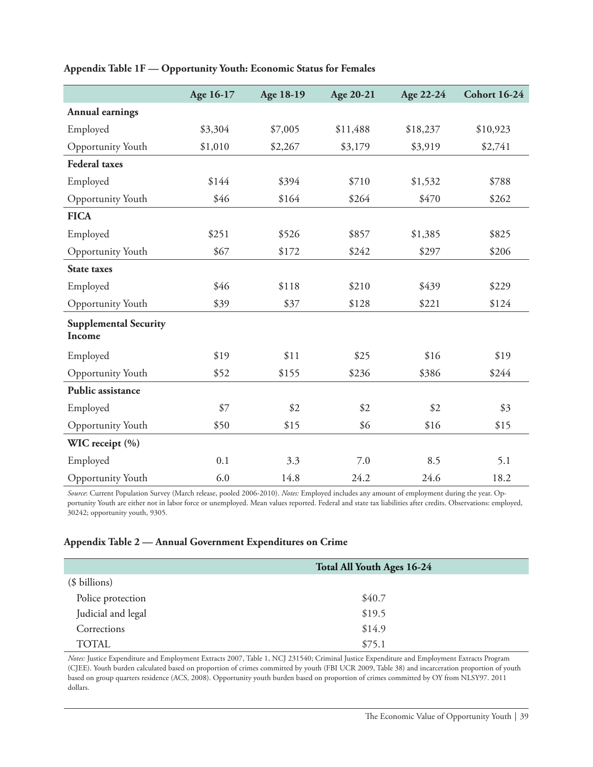|                                        | Age 16-17 | Age 18-19 | Age 20-21 | Age 22-24 | <b>Cohort 16-24</b> |
|----------------------------------------|-----------|-----------|-----------|-----------|---------------------|
| Annual earnings                        |           |           |           |           |                     |
| Employed                               | \$3,304   | \$7,005   | \$11,488  | \$18,237  | \$10,923            |
| Opportunity Youth                      | \$1,010   | \$2,267   | \$3,179   | \$3,919   | \$2,741             |
| <b>Federal taxes</b>                   |           |           |           |           |                     |
| Employed                               | \$144     | \$394     | \$710     | \$1,532   | \$788               |
| Opportunity Youth                      | \$46      | \$164     | \$264     | \$470     | \$262               |
| <b>FICA</b>                            |           |           |           |           |                     |
| Employed                               | \$251     | \$526     | \$857     | \$1,385   | \$825               |
| Opportunity Youth                      | \$67      | \$172     | \$242     | \$297     | \$206               |
| <b>State taxes</b>                     |           |           |           |           |                     |
| Employed                               | \$46      | \$118     | \$210     | \$439     | \$229               |
| Opportunity Youth                      | \$39      | \$37      | \$128     | \$221     | \$124               |
| <b>Supplemental Security</b><br>Income |           |           |           |           |                     |
| Employed                               | \$19      | \$11      | \$25      | \$16      | \$19                |
| Opportunity Youth                      | \$52      | \$155     | \$236     | \$386     | \$244               |
| <b>Public assistance</b>               |           |           |           |           |                     |
| Employed                               | \$7       | \$2       | \$2       | \$2       | \$3                 |
| Opportunity Youth                      | \$50      | \$15      | \$6       | \$16      | \$15                |
| WIC receipt (%)                        |           |           |           |           |                     |
| Employed                               | 0.1       | 3.3       | 7.0       | 8.5       | 5.1                 |
| Opportunity Youth                      | 6.0       | 14.8      | 24.2      | 24.6      | 18.2                |

#### **Appendix Table 1F — Opportunity Youth: Economic Status for Females**

*Source*: Current Population Survey (March release, pooled 2006-2010). *Notes:* Employed includes any amount of employment during the year. Opportunity Youth are either not in labor force or unemployed. Mean values reported. Federal and state tax liabilities after credits. Observations: employed, 30242; opportunity youth, 9305.

#### **Appendix Table 2 — Annual Government Expenditures on Crime**

|                    | <b>Total All Youth Ages 16-24</b> |
|--------------------|-----------------------------------|
| $($$ billions)     |                                   |
| Police protection  | \$40.7                            |
| Judicial and legal | \$19.5                            |
| Corrections        | \$14.9                            |
| TOTAL              | \$75.1                            |

*Notes:* Justice Expenditure and Employment Extracts 2007, Table 1, NCJ 231540; Criminal Justice Expenditure and Employment Extracts Program (CJEE). Youth burden calculated based on proportion of crimes committed by youth (FBI UCR 2009, Table 38) and incarceration proportion of youth based on group quarters residence (ACS, 2008). Opportunity youth burden based on proportion of crimes committed by OY from NLSY97. 2011 dollars.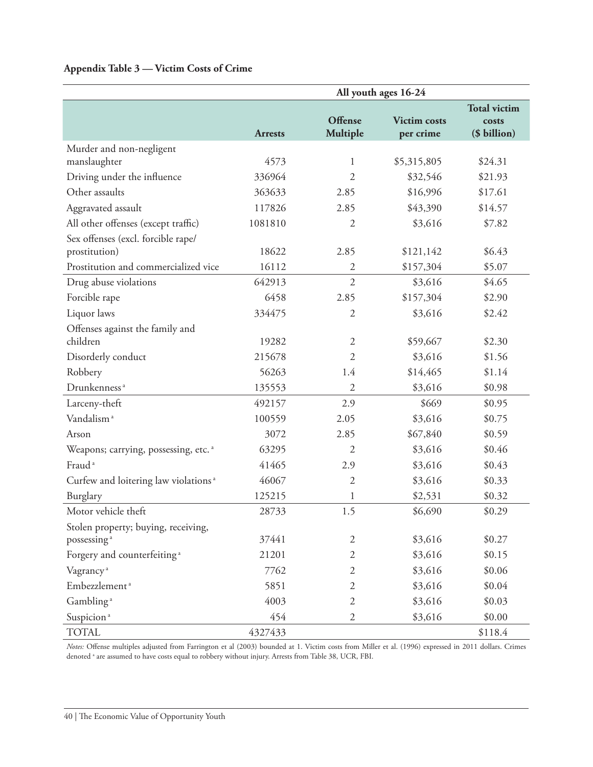#### **Appendix Table 3 — Victim Costs of Crime**

|                                                                |                |                            | All youth ages 16-24             |                                              |
|----------------------------------------------------------------|----------------|----------------------------|----------------------------------|----------------------------------------------|
|                                                                | <b>Arrests</b> | <b>Offense</b><br>Multiple | <b>Victim costs</b><br>per crime | <b>Total victim</b><br>costs<br>(\$ billion) |
| Murder and non-negligent                                       |                |                            |                                  |                                              |
| manslaughter                                                   | 4573           | 1                          | \$5,315,805                      | \$24.31                                      |
| Driving under the influence                                    | 336964         | $\mathfrak{2}$             | \$32,546                         | \$21.93                                      |
| Other assaults                                                 | 363633         | 2.85                       | \$16,996                         | \$17.61                                      |
| Aggravated assault                                             | 117826         | 2.85                       | \$43,390                         | \$14.57                                      |
| All other offenses (except traffic)                            | 1081810        | 2                          | \$3,616                          | \$7.82                                       |
| Sex offenses (excl. forcible rape/<br>prostitution)            | 18622          | 2.85                       | \$121,142                        | \$6.43                                       |
| Prostitution and commercialized vice                           | 16112          | $\mathfrak{2}$             | \$157,304                        | \$5.07                                       |
| Drug abuse violations                                          | 642913         | $\overline{2}$             | \$3,616                          | \$4.65                                       |
| Forcible rape                                                  | 6458           | 2.85                       | \$157,304                        | \$2.90                                       |
| Liquor laws                                                    | 334475         | $\mathfrak{2}$             | \$3,616                          | \$2.42                                       |
| Offenses against the family and<br>children                    | 19282          | $\mathfrak{2}$             | \$59,667                         | \$2.30                                       |
| Disorderly conduct                                             | 215678         | $\overline{2}$             | \$3,616                          | \$1.56                                       |
| Robbery                                                        | 56263          | 1.4                        | \$14,465                         | \$1.14                                       |
| Drunkenness <sup>a</sup>                                       | 135553         | $\mathfrak{2}$             | \$3,616                          | \$0.98                                       |
| Larceny-theft                                                  | 492157         | 2.9                        | \$669                            | \$0.95                                       |
| Vandalism <sup>a</sup>                                         | 100559         | 2.05                       | \$3,616                          | \$0.75                                       |
| Arson                                                          | 3072           | 2.85                       | \$67,840                         | \$0.59                                       |
| Weapons; carrying, possessing, etc. <sup>a</sup>               | 63295          | 2                          | \$3,616                          | \$0.46                                       |
| Fraud <sup>a</sup>                                             | 41465          | 2.9                        | \$3,616                          | \$0.43                                       |
| Curfew and loitering law violations <sup>a</sup>               | 46067          | 2                          | \$3,616                          | \$0.33                                       |
| Burglary                                                       | 125215         | 1                          | \$2,531                          | \$0.32                                       |
| Motor vehicle theft                                            | 28733          | 1.5                        | \$6,690                          | \$0.29                                       |
| Stolen property; buying, receiving,<br>possessing <sup>a</sup> | 37441          | $\mathfrak{2}$             | \$3,616                          | \$0.27                                       |
| Forgery and counterfeiting <sup>a</sup>                        | 21201          | $\mathfrak{2}$             | \$3,616                          | \$0.15                                       |
| Vagrancy <sup>a</sup>                                          | 7762           | $\mathfrak{2}$             | \$3,616                          | \$0.06                                       |
| Embezzlement <sup>a</sup>                                      | 5851           | $\mathfrak{2}$             | \$3,616                          | \$0.04                                       |
| Gambling <sup>a</sup>                                          | 4003           | $\mathfrak{2}$             | \$3,616                          | \$0.03                                       |
| Suspicion <sup>a</sup>                                         | 454            | $\mathfrak{2}$             | \$3,616                          | \$0.00                                       |
| <b>TOTAL</b>                                                   | 4327433        |                            |                                  | \$118.4                                      |

*Notes:* Offense multiples adjusted from Farrington et al (2003) bounded at 1. Victim costs from Miller et al. (1996) expressed in 2011 dollars. Crimes denoted <sup>a</sup> are assumed to have costs equal to robbery without injury. Arrests from Table 38, UCR, FBI.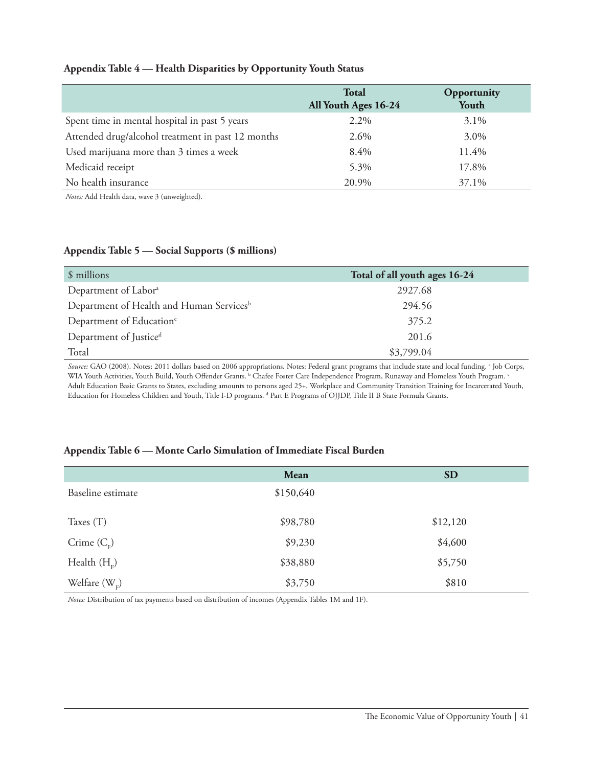#### **Appendix Table 4 — Health Disparities by Opportunity Youth Status**

|                                                   | <b>Total</b><br>All Youth Ages 16-24 | Opportunity<br>Youth |
|---------------------------------------------------|--------------------------------------|----------------------|
| Spent time in mental hospital in past 5 years     | 2.2%                                 | 3.1%                 |
| Attended drug/alcohol treatment in past 12 months | 2.6%                                 | 3.0%                 |
| Used marijuana more than 3 times a week           | 8.4%                                 | 11.4%                |
| Medicaid receipt                                  | 5.3%                                 | 17.8%                |
| No health insurance                               | 20.9%                                | 37.1%                |

*Notes:* Add Health data, wave 3 (unweighted).

#### **Appendix Table 5 — Social Supports (\$ millions)**

| \$ millions                                          | Total of all youth ages 16-24 |
|------------------------------------------------------|-------------------------------|
| Department of Labor <sup>a</sup>                     | 2927.68                       |
| Department of Health and Human Services <sup>b</sup> | 294.56                        |
| Department of Education <sup>c</sup>                 | 375.2                         |
| Department of Justice <sup>d</sup>                   | 201.6                         |
| Total                                                | \$3,799.04                    |

Source: GAO (2008). Notes: 2011 dollars based on 2006 appropriations. Notes: Federal grant programs that include state and local funding. <sup>a</sup> Job Corps, WIA Youth Activities, Youth Build, Youth Offender Grants. <sup>b</sup> Chafee Foster Care Independence Program, Runaway and Homeless Youth Program. ʿ Adult Education Basic Grants to States, excluding amounts to persons aged 25+, Workplace and Community Transition Training for Incarcerated Youth, Education for Homeless Children and Youth, Title I-D programs. <sup>d</sup> Part E Programs of OJJDP, Title II B State Formula Grants.

#### **Appendix Table 6 — Monte Carlo Simulation of Immediate Fiscal Burden**

|                   | Mean      | <b>SD</b> |
|-------------------|-----------|-----------|
| Baseline estimate | \$150,640 |           |
| Taxes $(T)$       | \$98,780  | \$12,120  |
| Crime $(C_{p})$   | \$9,230   | \$4,600   |
| Health $(H_E)$    | \$38,880  | \$5,750   |
| Welfare $(W_F)$   | \$3,750   | \$810     |

*Notes:* Distribution of tax payments based on distribution of incomes (Appendix Tables 1M and 1F).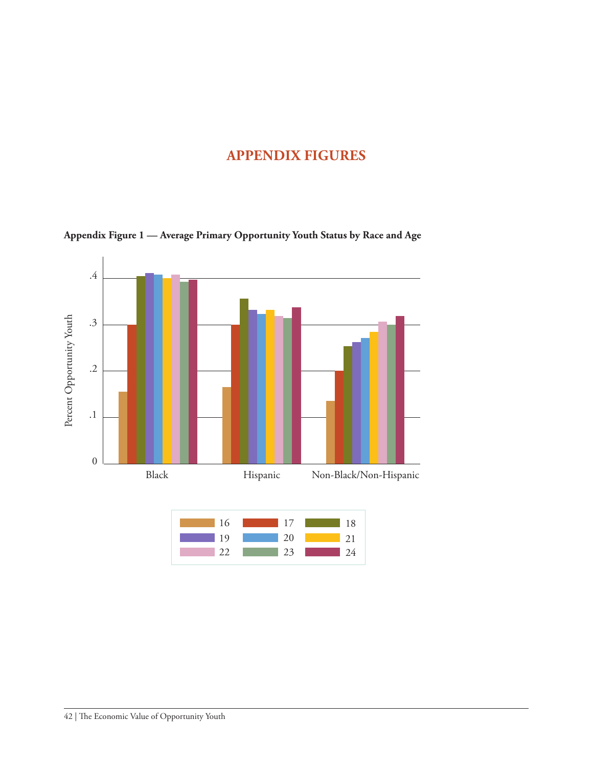# **appendix figuRES**



22 23 24

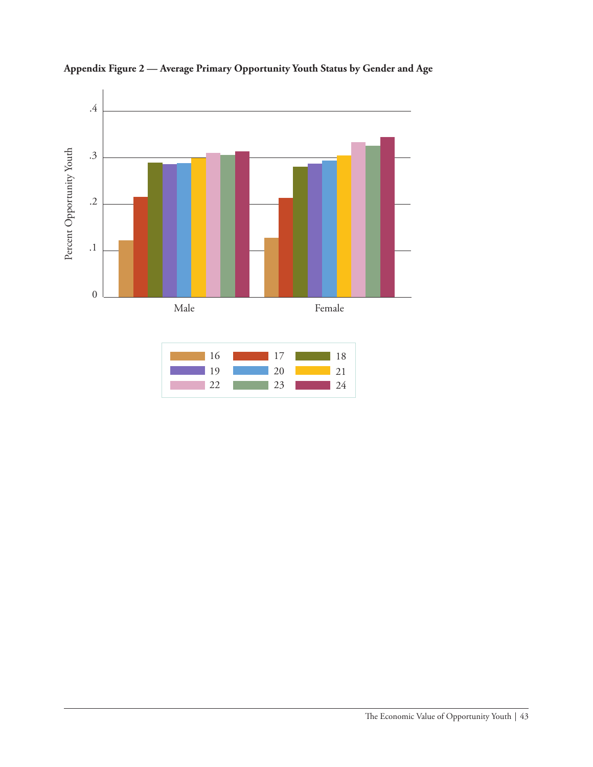

19 20 21 22 23 24

#### **Appendix Figure 2 — Average Primary Opportunity Youth Status by Gender and Age**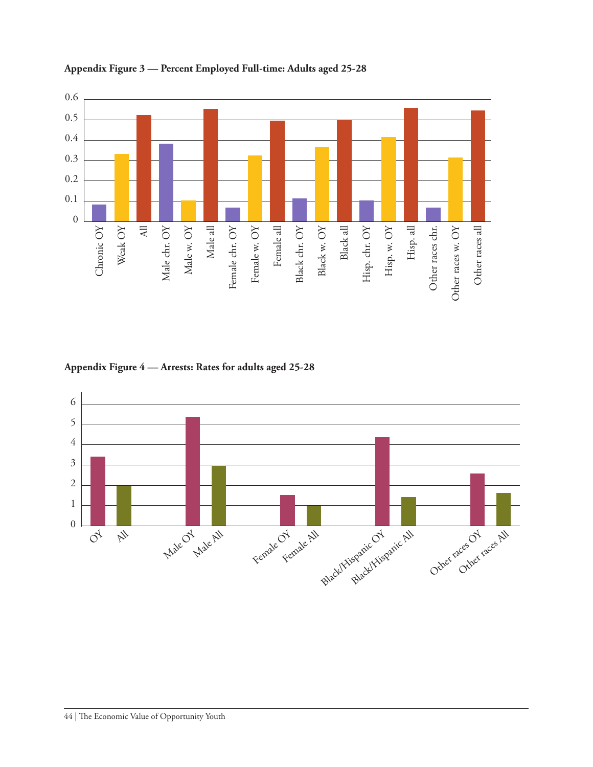

#### **Appendix Figure 3 — Percent Employed Full-time: Adults aged 25-28**

#### **Appendix Figure 4 — Arrests: Rates for adults aged 25-28**